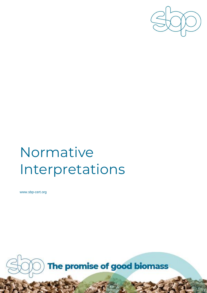

# Normative Interpretations

www.sbp-cert.org

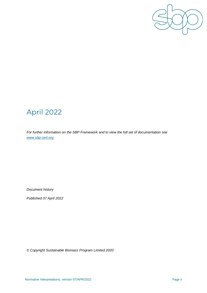

### April 2022

*For further information on the SBP Framework and to view the full set of documentation see [www.sbp-cert.org](http://www.sbp-cert.org/)*

*Document history*

*Published 07 April 2022*

*© Copyright Sustainable Biomass Program Limited 2020*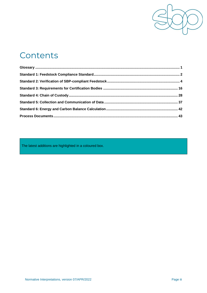

### **Contents**

The latest additions are highlighted in a coloured box.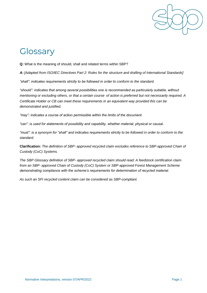

# <span id="page-3-0"></span>**Glossary**

**Q:** What is the meaning of should, shall and related terms within SBP?

*A: [Adapted from ISO/IEC Directives Part 2: Rules for the structure and drafting of International Standards]* 

*"shall": indicates requirements strictly to be followed in order to conform to the standard.* 

*"should": indicates that among several possibilities one is recommended as particularly suitable, without mentioning or excluding others, or that a certain course of action is preferred but not necessarily required. A Certificate Holder or CB can meet these requirements in an equivalent way provided this can be demonstrated and justified.* 

*"may": indicates a course of action permissible within the limits of the document.* 

*"can": is used for statements of possibility and capability, whether material, physical or causal.* 

*"must": is a synonym for "shall" and indicates requirements strictly to be followed in order to conform to the standard.* 

**Clarification:** *The definition of SBP- approved recycled claim excludes reference to SBP-approved Chain of Custody (CoC) Systems.* 

*The SBP Glossary definition of SBP- approved recycled claim should read: A feedstock certification claim from an SBP- approved Chain of Custody (CoC) System or SBP-approved Forest Management Scheme demonstrating compliance with the scheme's requirements for determination of recycled material.* 

*As such an SFI recycled content claim can be considered as SBP-compliant.*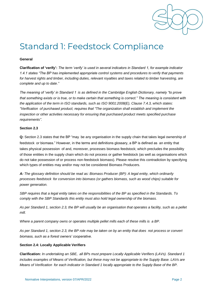

### <span id="page-4-0"></span>Standard 1: Feedstock Compliance

#### **General**

**Clarification of 'verify':** *The term 'verify' is used in several indicators in Standard 1, for example indicator 1.4.1 states "The BP has implemented appropriate control systems and procedures to verify that payments for harvest rights and timber, including duties, relevant royalties and taxes related to timber harvesting, are complete and up to date."*

*The meaning of 'verify' in Standard 1 is as defined in the Cambridge English Dictionary, namely "to prove that something exists or is true, or to make certain that something is correct." The meaning is consistent with the application of the term in ISO standards, such as ISO 9001:2008(E), Clause 7.4.3, which states: "Verification of purchased product, requires that "The organization shall establish and implement the inspection or other activities necessary for ensuring that purchased product meets specified purchase requirements".*

#### **Section 2.3**

**Q:** Section 2.3 states that the BP "may be any organisation in the supply chain that takes legal ownership of feedstock or biomass." However, in the terms and definitions glossary, a BP is defined as an entity that takes physical possession of and, moreover, processes biomass feedstock; which precludes the possibility of those entities in the supply chain which do not process or gather feedstock (as well as organisations which do not take possession of or process non-feedstock biomass). Please resolve this contradiction by specifying which types of entities may and/or may not be considered Biomass Producers.

*A: The glossary definition should be read as: Biomass Producer (BP): A legal entity, which ordinarily processes feedstock for conversion into biomass (or gathers biomass, such as wood chips) suitable for power generation.* 

*SBP requires that a legal entity takes on the responsibilities of the BP as specified in the Standards. To comply with the SBP Standards this entity must also hold legal ownership of the biomass.* 

*As per Standard 1, section 2.3, the BP will usually be an organisation that operates a facility, such as a pellet mill.* 

*Where a parent company owns or operates multiple pellet mills each of these mills is a BP.* 

*As per Standard 1, section 2.3, the BP role may be taken on by an entity that does not process or convert biomass, such as a forest owners' cooperative.* 

#### **Section 2.4: Locally Applicable Verifiers**

**Clarification:** *In undertaking an SBE, all BPs must prepare Locally Applicable Verifiers (LAVs). Standard 1 includes examples of Means of Verification, but these may not be appropriate to the Supply Base. LAVs are Means of Verification for each indicator in Standard 1 locally appropriate to the Supply Base of the BP.*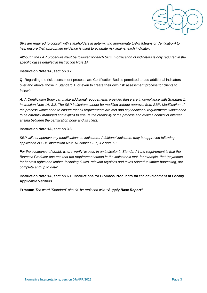

*BPs are required to consult with stakeholders in determining appropriate LAVs (Means of Verification) to help ensure that appropriate evidence is used to evaluate risk against each indicator.* 

*Although the LAV procedure must be followed for each SBE, modification of indicators is only required in the specific cases detailed in Instruction Note 1A.* 

#### **Instruction Note 1A, section 3.2**

**Q:** Regarding the risk assessment process, are Certification Bodies permitted to add additional indicators over and above those in Standard 1, or even to create their own risk assessment process for clients to follow?

*A: A Certification Body can make additional requirements provided these are in compliance with Standard 1, Instruction Note 1A, 3.2. The SBP indicators cannot be modified without approval from SBP. Modification of the process would need to ensure that all requirements are met and any additional requirements would need to be carefully managed and explicit to ensure the credibility of the process and avoid a conflict of interest arising between the certification body and its client.* 

#### **Instruction Note 1A, section 3.3**

*SBP will not approve any modifications to indicators. Additional indicators may be approved following application of SBP Instruction Note 1A clauses 3.1, 3.2 and 3.3.* 

*For the avoidance of doubt, where 'verify' is used in an indicator in Standard 1 the requirement is that the Biomass Producer ensures that the requirement stated in the indicator is met, for example, that "payments for harvest rights and timber, including duties, relevant royalties and taxes related to timber harvesting, are complete and up to date".* 

**Instruction Note 1A, section 6.1: Instructions for Biomass Producers for the development of Locally Applicable Verifiers** 

**Erratum:** *The word "Standard" should be replaced with "Supply Base Report".*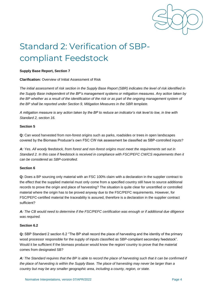

# <span id="page-6-0"></span>Standard 2: Verification of SBPcompliant Feedstock

#### **Supply Base Report, Section 7**

#### **Clarification:** Overview of Initial Assessment of Risk

*The initial assessment of risk section in the Supply Base Report (SBR) indicates the level of risk identified in the Supply Base independent of the BP's management systems or mitigation measures. Any action taken by*  the BP whether as a result of the identification of the risk or as part of the ongoing management system of *the BP shall be reported under Section 9, Mitigation Measures in the SBR template.* 

*A mitigation measure is any action taken by the BP to reduce an indicator's risk level to low, in line with Standard 2, section 16.*

#### **Section 5**

**Q:** Can wood harvested from non-forest origins such as parks, roadsides or trees in open landscapes covered by the Biomass Producer's own FSC CW risk assessment be classified as SBP-controlled inputs?

*A: Yes. All woody feedstock, from forest and non-forest origins must meet the requirements set out in Standard 2. In this case if feedstock is received in compliance with FSC/PEFC CW/CS requirements then it can be considered as SBP-controlled.* 

#### **Section 6**

**Q:** Does a BP sourcing only material with an FSC 100% claim with a declaration in the supplier contract to the effect that the supplied material must only come from a specified country still have to source additional records to prove the origin and place of harvesting? The situation is quite clear for uncertified or controlled material where the origin has to be proved anyway due to the FSC/PEFC requirements. However, for FSC/PEFC-certified material the traceability is assured, therefore is a declaration in the supplier contract sufficient?

*A: The CB would need to determine if the FSC/PEFC certification was enough or if additional due diligence was required.* 

#### **Section 6.2**

**Q:** SBP Standard 2 section 6.2 "The BP shall record the place of harvesting and the identity of the primary wood processor responsible for the supply of inputs classified as SBP-compliant secondary feedstock". Would it be sufficient if the biomass producer would know the region/ country to prove that the material comes from designated SB?

*A: The Standard requires that the BP is able to record the place of harvesting such that it can be confirmed if the place of harvesting is within the Supply Base. The place of harvesting may never be larger than a country but may be any smaller geographic area, including a county, region, or state.*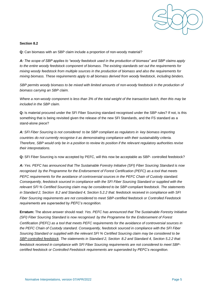

#### **Section 8.2**

**Q:** Can biomass with an SBP claim include a proportion of non-woody material?

*A: The scope of SBP applies to "woody feedstock used in the production of biomass" and SBP claims apply to the entire woody feedstock component of biomass. The existing standards set out the requirements for mixing woody feedstock from multiple sources in the production of biomass and also the requirements for mixing biomass. These requirements apply to all biomass derived from woody feedstock, including binders.*

SBP permits woody biomass to be mixed with limited amounts of non-woody feedstock in the production of *biomass carrying an SBP claim.*

*Where a non-woody component is less than 3% of the total weight of the transaction batch, then this may be included in the SBP claim.*

**Q:** Is material procured under the SFI Fiber Sourcing standard recognised under the SBP rules? If not, is this something that is being revisited given the release of the new SFI Standards, and the FS standard as a stand-alone piece?

*A: SFI Fiber Sourcing is not considered to be SBP compliant as regulators in key biomass importing countries do not currently recognise it as demonstrating compliance with their sustainability criteria. Therefore, SBP would only be in a position to review its position if the relevant regulatory authorities revise their interpretations.* 

**Q:** SFI Fiber Sourcing is now accepted by PEFC, will this now be acceptable as SBP- controlled feedstock?

*A: Yes. PEFC has announced that The Sustainable Forestry Initiative (SFI) Fiber Sourcing Standard is now recognised by the Programme for the Endorsement of Forest Certification (PEFC) as a tool that meets PEFC requirements for the avoidance of controversial sources in the PEFC Chain of Custody standard. Consequently, feedstock sourced in compliance with the SFI Fiber Sourcing Standard or supplied with the relevant SFI % Certified Sourcing claim may be considered to be SBP-compliant feedstock. The statements in Standard 2, Section 8.2 and Standard 4, Section 5.2.2 that: feedstock received in compliance with SFI Fiber Sourcing requirements are not considered to meet SBP-certified feedstock or Controlled Feedstock requirements are superseded by PEFC's recognition.* 

**Erratum:** The above answer should read: *Yes. PEFC has announced that The Sustainable Forestry Initiative (SFI) Fiber Sourcing Standard is now recognised by the Programme for the Endorsement of Forest Certification (PEFC) as a tool that meets PEFC requirements for the avoidance of controversial sources in the PEFC Chain of Custody standard. Consequently, feedstock sourced in compliance with the SFI Fiber Sourcing Standard or supplied with the relevant SFI % Certified Sourcing claim may be considered to be SBP-controlled feedstock. The statements in Standard 2, Section 8.2 and Standard 4, Section 5.2.2 that: feedstock received in compliance with SFI Fiber Sourcing requirements are not considered to meet SBPcertified feedstock or Controlled Feedstock requirements are superseded by PEFC's recognition.*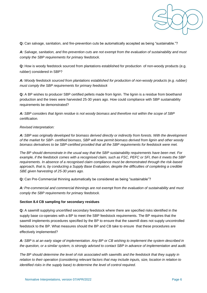

**Q:** Can salvage, sanitation, and fire-prevention cuts be automatically accepted as being "sustainable."?

*A: Salvage, sanitation, and fire-prevention cuts are not exempt from the evaluation of sustainability and must comply the SBP requirements for primary feedstock.* 

**Q:** How is woody feedstock sourced from plantations established for production of non-woody products (e.g. rubber) considered in SBP?

*A: Woody feedstock sourced from plantations established for production of non-woody products (e.g. rubber) must comply the SBP requirements for primary feedstock* 

**Q:** A BP wishes to producer SBP certified pellets made from lignin. The lignin is a residue from bioethanol production and the trees were harvested 25-30 years ago. How could compliance with SBP sustainability requirements be demonstrated?

*A: SBP considers that lignin residue is not woody biomass and therefore not within the scope of SBP certification.* 

#### *Revised interpretation:*

*A: SBP was originally developed for biomass derived directly or indirectly from forests. With the development of the market for SBP- certified biomass, SBP will now permit biomass derived from lignin and other woody biomass derivatives to be SBP-certified provided that all the SBP requirements for feedstock were met.*

*The BP should demonstrate in the usual way that the SBP sustainability requirements have been met. For example, if the feedstock comes with a recognised claim, such as FSC, PEFC or SFI, then it meets the SBP requirements. In absence of a recognised claim compliance must be demonstrated through the risk-based approach, that is, by conducting a Supply Base Evaluation, despite the difficulties of completing a credible SBE given harvesting of 25-30 years ago.*

**Q:** Can Pre-Commercial thinning automatically be considered as being "sustainable"?

*A: Pre-commercial and commercial thinnings are not exempt from the evaluation of sustainability and must comply the SBP requirements for primary feedstock.* 

#### **Section 8.4 CB sampling for secondary residues**

**Q:** A sawmill supplying uncertified secondary feedstock where there are specified risks identified in the supply base co-operates with a BP to meet the SBP feedstock requirements. The BP requires that the sawmill implements procedures specified by the BP to ensure that the sawmill does not supply uncontrolled feedstock to the BP. What measures should the BP and CB take to ensure that these procedures are effectively implemented?

*A: SBP is at an early stage of implementation. Any BP or CB wishing to implement the system described in the question, or a similar system, is strongly advised to contact SBP in advance of implementation and audit.* 

*The BP should determine the level of risk associated with sawmills and the feedstock that they supply in relation to their operation (considering relevant factors that may include inputs, size, location in relation to identified risks in the supply base) to determine the level of control required.*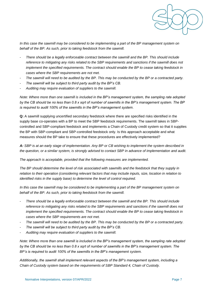

In this case the sawmill may be considered to be implementing a part of the BP management system on *behalf of the BP. As such, prior to taking feedstock from the sawmill.* 

- *There should be a legally enforceable contract between the sawmill and the BP. This should include reference to mitigating any risks related to the SBP requirements and sanctions if the sawmill does not implement the specified requirements. The contract should enable the BP to cease taking feedstock in cases where the SBP requirements are not met.*
- *The sawmill will need to be audited by the BP. This may be conducted by the BP or a contracted party.*
- The sawmill will be subject to third party audit by the BP's CB.
- *Auditing may require evaluation of suppliers to the sawmill.*

*Note: Where more than one sawmill is included in the BP's management system, the sampling rate adopted by the CB should be no less than 0.8 x sqrt of number of sawmills in the BP's management system. The BP is required to audit 100% of the sawmills in the BP's management system.* 

**Q:** A sawmill supplying uncertified secondary feedstock where there are specified risks identified in the supply base co-operates with a BP to meet the SBP feedstock requirements. The sawmill takes in SBPcontrolled and SBP-compliant feedstock and implements a Chain of Custody credit system so that it supplies the BP with SBP-compliant and SBP-controlled feedstock only. Is this approach acceptable and what measures should the BP take to ensure that these procedures are effectively implemented?

*A: SBP is at an early stage of implementation. Any BP or CB wishing to implement the system described in the question, or a similar system, is strongly advised to contact SBP in advance of implementation and audit.* 

*The approach is acceptable, provided that the following measures are implemented.* 

*The BP should determine the level of risk associated with sawmills and the feedstock that they supply in*  relation to their operation (considering relevant factors that may include inputs, size, location in relation to *identified risks in the supply base) to determine the level of control required.* 

*In this case the sawmill may be considered to be implementing a part of the BP management system on behalf of the BP. As such, prior to taking feedstock from the sawmill.* 

- *There should be a legally enforceable contract between the sawmill and the BP. This should include reference to mitigating any risks related to the SBP requirements and sanctions if the sawmill does not implement the specified requirements. The contract should enable the BP to cease taking feedstock in cases where the SBP requirements are not met.*
- The sawmill will need to be audited by the BP. This may be conducted by the BP or a contracted party.
- *The sawmill will be subject to third party audit by the BP's CB.*
- *Auditing may require evaluation of suppliers to the sawmill.*

*Note: Where more than one sawmill is included in the BP's management system, the sampling rate adopted by the CB should be no less than 0.8 x sqrt of number of sawmills in the BP's management system. The BP's is required to audit 100% of the sawmills in the BP's management system.*

*Additionally, the sawmill shall implement relevant aspects of the BP's management system, including a Chain of Custody system based on the requirements of SBP Standard 4, Chain of Custody.*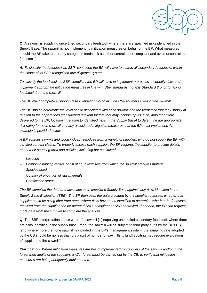

**Q:** A sawmill is supplying uncertified secondary feedstock where there are specified risks identified in the Supply Base. The sawmill is not implementing mitigation measures on behalf of the BP. What measures should the BP take to properly categorise feedstock as either controlled or compliant and avoid uncontrolled feedstock?

*A: To classify the feedstock as SBP- controlled the BP will have to source all secondary feedstocks within the scope of its SBP-recognised due diligence system.* 

*To classify the feedstock as SBP-compliant the BP will have to implement a process to identify risks and implement appropriate mitigation measures in line with SBP standards, notably Standard 2 prior to taking feedstock from the sawmill.* 

*The BP must complete a Supply Base Evaluation which includes the sourcing areas of the sawmill.* 

*The BP should determine the level of risk associated with each sawmill and the feedstock that they supply in relation to their operations (considering relevant factors that may include inputs, size, amount of fibre delivered to the BP, location in relation to identified risks in the Supply Base) to determine the appropriate risk rating for each sawmill and any associated mitigation measures that the BP must implement. An example is provided below:* 

*A BP sources sawmill and wood industry residues from a variety of suppliers who do not supply the BP with certified content claims. To properly assess each supplier, the BP requires the supplier to provide details about their sourcing area and policies, including but not limited to:* 

- −*Location*
- − *Economic hauling radius, or list of counties/cities from which the sawmill procures material*
- − *Species used*
- *Country of origin for all raw materials*
- *Certification status*

*The BP compiles the data and assesses each supplier's Supply Base against any risks identified in the Supply Base Evaluation (SBE). The BP then uses the data provided by the supplier to assess whether that supplier could be using fibre from areas where risks have been identified to determine whether the feedstock received from the supplier can be deemed SBP- compliant or SBP-controlled. If needed, the BP can request more data from the supplier to complete the analysis.* 

**Q:** The SBP Interpretation states where "a sawmill [is] supplying uncertified secondary feedstock where there are risks identified in the supply base", then "the sawmill will be subject to third party audit by the BPs CB, [and] where more than one sawmill is included in the BP's management system, the sampling rate adopted by the CB should be no less than 0.8 x sqrt of number of sawmills… [and] auditing may require evaluations of suppliers to the sawmill".

**Clarification:** *Where mitigation measures are being implemented by suppliers of the sawmill and/or in the forest then audits of the suppliers and/or forest must be carried out by the CB, to verify that mitigation measures are being adequately implemented.*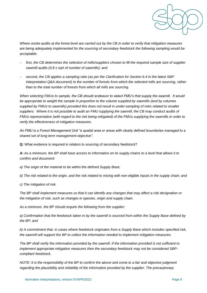

*Where onsite audits at the forest level are carried out by the CB in order to verify that mitigation measures are being adequately implemented for the sourcing of secondary feedstock the following sampling would be acceptable:*

- − *first, the CB determines the selection of mills/suppliers chosen to fill the required sample size of supplier sawmill audits (0.8 x sqrt of number of sawmills); and*
- − *second, the CB applies a sampling ratio (as per the Clarification for Section 6.4 in the latest SBP Interpretation Q&A document) to the number of forests from which the selected mills are sourcing, rather than to the total number of forests from which all mills are sourcing.*

*When selecting FMUs to sample, the CB should endeavor to select FMU's that supply the sawmill. It would be appropriate to weight the sample in proportion to the volume supplied by sawmills (and by volumes supplied by FMUs to sawmills) provided this does not result in under-sampling of risks related to smaller suppliers. Where it is not possible to audit an FMU supplying the sawmill, the CB may conduct audits of FMUs representative (with regard to the risk being mitigated) of the FMUs supplying the sawmills in order to verify the effectiveness of mitigation measures.* 

*An FMU is a Forest Management Unit "a spatial area or areas with clearly defined boundaries managed to a shared set of long term management objective".*

**Q:** What evidence is required in relation to sourcing of secondary feedstock?

*A: As a minimum, the BP shall have access to information on its supply chains to a level that allows it to confirm and document:* 

*a) The origin of the material to be within the defined Supply Base;* 

*b) The risk related to the origin, and the risk related to mixing with non-eligible inputs in the supply chain; and* 

*c) The mitigation of risk.* 

*The BP shall implement measures so that it can identify any changes that may affect a risk designation or the mitigation of risk, such as changes in species, origin and supply chain.* 

*As a minimum, the BP should require the following from the supplier:* 

*a) Confirmation that the feedstock taken in by the sawmill is sourced from within the Supply Base defined by the BP; and* 

*b) A commitment that, in cases where feedstock originates from a Supply Base which includes specified risk, the sawmill will support the BP to collect the information needed to implement mitigation measures.* 

*The BP shall verify the information provided by the sawmill. If the information provided is not sufficient to implement appropriate mitigation measures then the secondary feedstock may not be considered SBPcompliant feedstock.* 

*NOTE: It is the responsibility of the BP to confirm the above and come to a fair and objective judgment regarding the plausibility and reliability of the information provided by the supplier. The precautionary*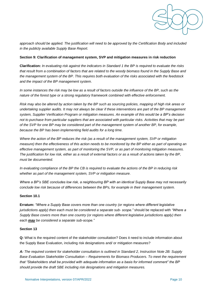

*approach should be applied. The justification will need to be approved by the Certification Body and included in the publicly available Supply Base Report.* 

#### **Section 9: Clarification of management system, SVP and mitigation measures in risk reduction**

**Clarification:** *In evaluating risk against the indicators in Standard 1 the BP is required to evaluate the risks that result from a combination of factors that are related to the woody biomass found in the Supply Base and the management system of the BP. This requires both evaluation of the risks associated with the feedstock and the impact of the BP management system.* 

*In some instances the risk may be low as a result of factors outside the influence of the BP, such as the nature of the forest type or a strong regulatory framework combined with effective enforcement.* 

*Risk may also be altered by action taken by the BP such as sourcing policies, mapping of high risk areas or undertaking supplier audits. It may not always be clear if these interventions are part of the BP management system, Supplier Verification Program or mitigation measures. An example of this would be a BP's decision not to purchase from particular suppliers that are associated with particular risks. Activities that may be part of the SVP for one BP may be considered part of the management system of another BP, for example, because the BP has been implementing field audits for a long time.* 

*Where the action of the BP reduces the risk (as a result of the management system, SVP or mitigation measure) then the effectiveness of this action needs to be monitored by the BP either as part of operating an effective management system, as part of monitoring the SVP, or as part of monitoring mitigation measures. The justification for low risk, either as a result of external factors or as a result of actions taken by the BP, must be documented.* 

*In evaluating compliance of the BP the CB is required to evaluate the actions of the BP in reducing risk whether as part of the management system, SVP or mitigation measure.* 

*Where a BP's SBE concludes low risk, a neighbouring BP with an identical Supply Base may not necessarily conclude low risk because of differences between the BPs, for example in their management system.*

#### **Section 10.1**

**Erratum:** *"Where a Supply Base covers more than one country (or regions where different legislative jurisdictions apply) then each must be considered a separate sub- scope."* should be replaced with *"Where a Supply Base covers more than one country (or regions where different legislative jurisdictions apply) then each may be considered a separate sub-scope."* 

#### **Section 13**

**Q:** What is the required content of the stakeholder consultation? Does it need to include information about the Supply Base Evaluation, including risk designations and/ or mitigation measures?

*A: The required content for stakeholder consultation is outlined in Standard 2, Instruction Note 2B: Supply Base Evaluation Stakeholder Consultation – Requirements for Biomass Producers. To meet the requirement that "Stakeholders shall be provided with adequate information as a basis for informed comment" the BP should provide the draft SBE including risk designations and mitigation measures.*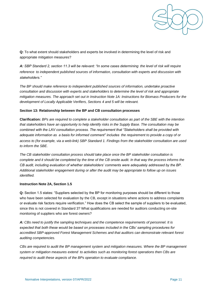

**Q:** To what extent should stakeholders and experts be involved in determining the level of risk and appropriate mitigation measures?

*A: SBP Standard 2, section 11.3 will be relevant: "In some cases determining the level of risk will require reference to independent published sources of information, consultation with experts and discussion with stakeholders."* 

*The BP should make reference to independent published sources of information, undertake proactive consultation and discussion with experts and stakeholders to determine the level of risk and appropriate mitigation measures. The approach set out in Instruction Note 1A: Instructions for Biomass Producers for the development of Locally Applicable Verifiers, Sections 4 and 5 will be relevant.* 

#### **Section 13: Relationship between the BP and CB consultation processes**

**Clarification:** *BPs are required to complete a stakeholder consultation as part of the SBE with the intention that stakeholders have an opportunity to help identify risks in the Supply Base. The consultation may be combined with the LAV consultation process. The requirement that "Stakeholders shall be provided with adequate information as a basis for informed comment" includes the requirement to provide a copy of or access to (for example, via a web-link) SBP Standard 1. Findings from the stakeholder consultation are used to inform the SBE.* 

*The CB stakeholder consultation process should take place once the BP stakeholder consultation is complete and it should be completed by the time of the CB onsite audit. In that way the process informs the CB audit, including evaluation of whether stakeholders' comments were adequately addressed by the BP. Additional stakeholder engagement during or after the audit may be appropriate to follow up on issues identified.* 

#### **Instruction Note 2A, Section 1.5**

**Q:** Section 1.5 states: "Suppliers selected by the BP for monitoring purposes should be different to those who have been selected for evaluation by the CB, except in situations where actions to address complaints or evaluate risk factors require verification." How does the CB select the sample of suppliers to be evaluated, since this is not covered in Standard 3? What qualifications are needed for auditors conducting on-site monitoring of suppliers who are forest owners?

*A: CBs need to justify the sampling techniques and the competence requirements of personnel. It is expected that both these would be based on processes included in the CBs' sampling procedures for accredited SBP-approved Forest Management Schemes and that auditors can demonstrate relevant forest auditing competencies.* 

*CBs are required to audit the BP management system and mitigation measures. Where the BP management system or mitigation measures extend to activities such as monitoring forest operations then CBs are required to audit these aspects of the BPs operation to evaluate compliance.*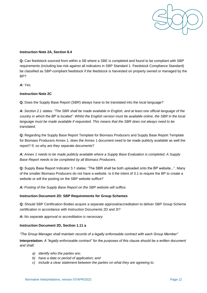

#### **Instruction Note 2A, Section 8.4**

**Q:** Can feedstock sourced from within a SB where a SBE is completed and found to be compliant with SBP requirements (including low-risk against all indicators in SBP Standard 1. Feedstock Compliance Standard) be classified as SBP-compliant feedstock if the feedstock is harvested on property owned or managed by the BP?

*A: Yes.* 

#### **Instruction Note 2C**

**Q:** Does the Supply Base Report (SBR) always have to be translated into the local language?

*A: Section 2.1 states: "The SBR shall be made available in English, and at least one official language of the country in which the BP is located". Whilst the English version must be available online, the SBR in the local language must be made available if requested. This means that the SBR does not always need to be translated.* 

**Q:** Regarding the Supply Base Report Template for Biomass Producers and Supply Base Report Template for Biomass Producers Annex 1, does the Annex 1 document need to be made publicly available as well the report? If, so why are they separate documents?

*A: Annex 1 needs to be made publicly available where a Supply Base Evaluation is completed. A Supply Base Report needs to be completed by all Biomass Producers.* 

**Q:** Supply Base Report Indicator 3.1 states: "The SBR shall be both uploaded onto the BP website...". Many of the smaller Biomass Producers do not have a website. Is it the intent of 3.1 to require the BP to create a website or will the posting on the SBP website suffice?

*A: Posting of the Supply Base Report on the SBP website will suffice.* 

#### **Instruction Document 2D: SBP Requirements for Group Schemes**

**Q:** Should SBP Certification Bodies acquire a separate approval/accreditation to deliver SBP Group Scheme certification in accordance with Instruction Documents 2D and 3I?

*A: No separate approval or accreditation is necessary.*

#### **Instruction Document 2D, Section 1.11 a**

*"The Group Manager shall maintain records of a legally enforceable contract with each Group Member"*

**Interpretation:** *A "legally enforceable contract" for the purposes of this clause should be a written document and shall:* 

- *a) identify who the parties are;*
- *b) have a date or period of application; and*
- *c) include a clear statement between the parties on what they are agreeing to.*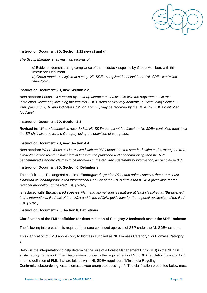

#### **Instruction Document 2D, Section 1.11 new c) and d)**

*The Group Manager shall maintain records of:*

c) Evidence demonstrating compliance of the feedstock supplied by Group Members with this Instruction Document. *d) Group members eligible to supply "NL SDE+ compliant feedstock" and "NL SDE+ controlled feedstock".*

#### **Instruction Document 2D, new Section 2.2.1**

**New section:** *Feedstock supplied by a Group Member in compliance with the requirements in this Instruction Document, including the relevant SDE+ sustainability requirements, but excluding Section 5, Principles 6, 8, 9, 10 and Indicators 7.2, 7.4 and 7.5, may be recorded by the BP as NL SDE+ controlled feedstock.*

#### **Instruction Document 2D, Section 2.3**

**Revised to:** *Where feedstock is recorded as NL SDE+ compliant feedstock or NL SDE+ controlled feedstock the BP shall also record the Category using the definition of categories.*

#### **Instruction Document 2D, new Section 4.4**

**New section:** *Where feedstock is received with an RVO benchmarked standard claim and is exempted from evaluation of the relevant indicators in line with the published RVO benchmarking then the RVO benchmarked standard claim with be recorded in the required sustainability information, as per clause 3.3.*

#### **Instruction Document 2D, Section 6, Definitions**

The definition of 'Endangered species': *Endangered species Plant and animal species that are at least classified as 'endangered' in the international Red List of the IUCN and in the IUCN's guidelines for the regional application of the Red List. (TPAS)*

Is replaced with: *Endangered species Plant and animal species that are at least classified as 'threatened' in the international Red List of the IUCN and in the IUCN's guidelines for the regional application of the Red List. (TPAS)*

#### **Instruction Document 2E, Section 6, Definitions**

#### **Clarification of the FMU definition for determination of Category 2 feedstock under the SDE+ scheme**

The following interpretation is required to ensure continued approval of SBP under the NL SDE+ scheme.

This clarification of FMU applies only to biomass supplied as NL Biomass Category 1 or Biomass Category 2.

Below is the interpretation to help determine the size of a Forest Management Unit (FMU) in the NL SDE+ sustainability framework. The interpretation concerns the requirements of NL SDE+ regulation indicator 12.4 and the definition of FMU that are laid down in NL SDE+ regulation: "Ministriele Regeling Conformiteitsbeoordeling vaste biomassa voor energietoepassingen". The clarification presented below must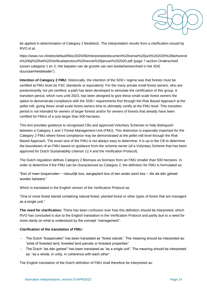

be applied in determination of Category 2 feedstock. The interpretation results from a clarification issued by RVO.nl at:

[https://www.rvo.nl/sites/default/files/2020/06/Interpretatiedocument%20versie%20juni%202020%20behorend](https://www.rvo.nl/sites/default/files/2020/06/Interpretatiedocument%20versie%20juni%202020%20behorende%20bij%20het%20Verificatieprotocol%20versie%20januari%202020.pdf) [e%20bij%20het%20Verificatieprotocol%20versie%20januari%202020.pdf](https://www.rvo.nl/sites/default/files/2020/06/Interpretatiedocument%20versie%20juni%202020%20behorende%20bij%20het%20Verificatieprotocol%20versie%20januari%202020.pdf) (page 7 section Onderscheid tussen categorie 1 en 2: Het bepalen van de grootte van een bosbeheereenheid in het SDE duurzaamheidskader").

**Intention of Category 2 FMU:** Historically, the intention of the SDE+ regime was that forests must be certified at FMU level (to FSC standards or equivalent). For the many private small forest owners, who are predominantly not yet certified, a path has been developed to stimulate the certification of this group. A transition period, which runs until 2023, has been designed to give these small-scale forest owners the option to demonstrate compliance with the SDE+ requirements first through the Risk Based Approach at the pellet mill, giving these small-scale forest owners time to ultimately certify at the FMU level. This transition period is not intended for owners of larger forests and/or for owners of forests that already have been certified for FMUs of a size larger than 500 hectares.

This text provides guidance to recognised CBs and approved Voluntary Schemes to help distinguish between a Category 1 and 2 Forest Management Unit (FMU). This distinction is especially important for the Category 2 FMU where forest compliance may be demonstrated at the pellet mill level through the Risk Based Approach. The exact size of the FMU is not always easy to determine. It is up to the CB to determine the boundaries of an FMU based on guidance from the scheme owner (of a Voluntary Scheme that has been approved for Dutch Sustainability criterion 12.4 and the Verification Protocol).

The Dutch regulation defines Category 2 Biomass as biomass from an FMU smaller than 500 hectares. In order to determine if the FMU can be characterised as Category 2, the definition for FMU is formulated as:

"Een of meer bospercelen − natuurlijk bos, aangeplant bos of een ander soort bos − die als één geheel worden beheerd."

Which is translated in the English version of the Verification Protocol as:

"One or more forest stands containing natural forest, planted forest or other types of forest that are managed as a single unit."

**The need for clarification:** There has been confusion over how this definition should be interpreted, which RVO has concluded is due to the English translation in the Verification Protocol and partly due to a need for more clarity on what is understood by the concept "management".

#### **Clarification of the translation of FMU:**

- − The Dutch "bospercelen" has been translated as "forest stands". The meaning should be interpreted as: "plots of forested land, forested land parcels or forested properties".
- − The Dutch "als één geheel" has been translated as "as a single unit". The meaning should be interpreted as: "as a whole, in unity, in coherence with each other".

The English translation of the Dutch definition of FMU shall therefore be interpreted as: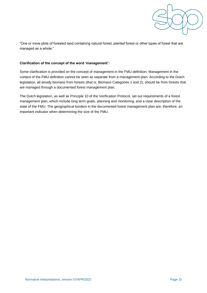

"One or more plots of forested land containing natural forest, planted forest or other types of forest that are managed as a whole."

#### **Clarification of the concept of the word 'management':**

Some clarification is provided on the concept of management in the FMU definition. Management in the context of the FMU definition cannot be seen as separate from a management plan. According to the Dutch legislation, all woody biomass from forests (that is, Biomass Categories 1 and 2), should be from forests that are managed through a documented forest management plan.

The Dutch legislation, as well as Principle 10 of the Verification Protocol, set out requirements of a forest management plan, which include long term goals, planning and monitoring, and a clear description of the state of the FMU. The geographical borders in the documented forest management plan are, therefore, an important indicator when determining the size of the FMU.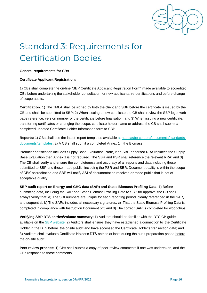

# <span id="page-18-0"></span>Standard 3: Requirements for Certification Bodies

#### **General requirements for CBs**

#### **Certificate Applicant Registration:**

1) CBs shall complete the on-line "SBP Certificate Applicant Registration Form" made available to accredited CBs before undertaking the stakeholder consultation for new applicants, re-certifications and before change of scope audits.

**Certification:** 1) The TMLA shall be signed by both the client and SBP before the certificate is issued by the CB and shall be submitted to SBP; 2) When issuing a new certificate the CB shall review the SBP logo, web page reference, version number of the certificate before finalisation; and 3) When issuing a new certificate, transferring certificates or changing the scope, certificate holder name or address the CB shall submit a completed updated Certificate Holder Information form to SBP.

**Reports:** 1) CBs shall use the latest report templates available at [https://sbp-cert.org/documents/standards](https://sbp-cert.org/documents/standards-%20documents/templates)[documents/templates;](https://sbp-cert.org/documents/standards-%20documents/templates) 2) A CB shall submit a completed Annex 1 if the Biomass

Producer certification includes Supply Base Evaluation. Note, if an SBP-endorsed RRA replaces the Supply Base Evaluation then Annex 1 is not required. The SBR and PSR shall reference the relevant RRA; and 3) The CB shall verify and ensure the completeness and accuracy of all reports and data including those submitted to SBP and those made public, including the PSR and SBR. Document quality is within the scope of CBs' accreditation and SBP will notify ASI of documentation received or made public that is not of acceptable quality.

**SBP audit report on Energy and GHG data (SAR) and Static Biomass Profiling Data:** 1) Before submitting data, including the SAR and Static Biomass Profiling Data to SBP for approval the CB shall always verify that: a) The SDI numbers are unique for each reporting period, clearly referenced in the SAR, and sequential; b) The SARs includes all necessary signatures; c) That the Static Biomass Profiling Data is completed in compliance with Instruction Document 5C; and d) The correct SAR is completed for woodchips.

**Verifying SBP DTS entries/volume summary:** 1) Auditors should be familiar with the DTS CB guide, available on the **SBP** website; 2) Auditors shall ensure they have established a connection to the Certificate Holder in the DTS before the onsite audit and have accessed the Certificate Holder's transaction data; and 3) Auditors shall evaluate Certificate Holder's DTS entries at least during the audit preparation phase before the on-site audit.

**Peer review process:** 1) CBs shall submit a copy of peer review comments if one was undertaken, and the CBs response to those comments.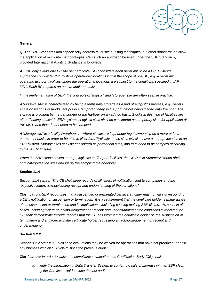

#### **General**

**Q:** The SBP Standards don't specifically address multi-site auditing techniques, but other standards do allow the application of multi-site methodologies. Can such an approach be used under the SBP Standards, provided International Auditing Guidance is followed?

*A: SBP only allows one BP site per certificate. SBP considers each pellet mill to be a BP. Multi-site*  approaches only extend to multiple operational locations within the scope of one BP, e.g. a pellet mill *operating two port facilities where the operational locations are subject to the conditions specified in IAF MD1. Each BP requires an on-site audit annually.* 

*In the implementation of SBP, the concepts of "logistic" and "storage" site are often seen in practice.* 

*A "logistics site" is characterised by being a temporary storage as a part of a logistics process, e.g., pellets arrive on wagons or trucks, are put in a temporary heap in the port, before being loaded onto the boat. The storage is provided by the transporter or the harbour on an ad hoc basis. Stocks in this type of facilities are often "floating stocks" in ERP systems. Logistic sites shall be considered as temporary sites for application of IAF MD1, and thus do not need to be sampled.* 

*A "storage site" is a facility (warehouse), where stocks are kept under legal ownership on a more or less permanent basis, in order to be able to fill orders. Typically, these sites will also have a storage location in an ERP system. Storage sites shall be considered as permanent sites, and thus need to be sampled according to the IAF MD1 rules.* 

*When the SBP scope covers storage, logistics and/or port facilities, the CB Public Summary Report shall both categorise the sites and justify the sampling methodology.* 

#### **Section 1.14**

Section 1.14 states: *"The CB shall keep records of all letters of notification sent to companies and the respective letters acknowledging receipt and understanding of the conditions".*

**Clarification:** *SBP recognises that a suspended or terminated certificate holder may not always respond to a CB's notification of suspension or termination. It is a requirement that the certificate holder is made aware of the suspension or termination and its implications, including ceasing making SBP claims. As such, in all cases, including where no acknowledgement of receipt and understanding of the conditions is received the CB shall demonstrate through records that the CB has informed the certificate holder of the suspension or termination and engaged with the certificate holder requesting an acknowledgement of receipt and understanding.* 

#### **Section 1.2.2**

Section 1.2.2 states: "Surveillance evaluations may be waived for operations that have not produced, or sold any biomass with an SBP-claim since the previous audit."

**Clarification***: In order to waive the surveillance evaluation, the Certification Body (CB) shall:*

*a) verify the information in Data Transfer System to confirm no sale of biomass with an SBP claim by the Certificate Holder since the last audit;*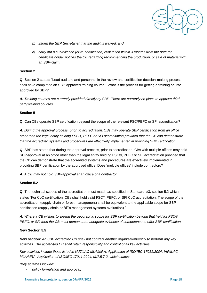

- *b) inform the SBP Secretariat that the audit is waived; and*
- *c) carry out a surveillance (or re-certification) evaluation within 3 months from the date the certificate holder notifies the CB regarding recommencing the production, or sale of material with an SBP-claim.*

#### **Section 2**

**Q:** Section 2 states: "Lead auditors and personnel in the review and certification decision-making process shall have completed an SBP-approved training course." What is the process for getting a training course approved by SBP?

*A: Training courses are currently provided directly by SBP. There are currently no plans to approve third party training courses.* 

#### **Section 5**

**Q:** Can CBs operate SBP certification beyond the scope of the relevant FSC/PEFC or SFI accreditation?

*A: During the approval process, prior to accreditation, CBs may operate SBP certification from an office other than the legal entity holding FSC®, PEFC or SFI accreditation provided that the CB can demonstrate that the accredited systems and procedures are effectively implemented in providing SBP certification.* 

**Q:** SBP has stated that during the approval process, prior to accreditation, CBs with multiple offices may hold SBP-approval at an office other than the legal entity holding FSC®, PEFC or SFI accreditation provided that the CB can demonstrate that the accredited systems and procedures are effectively implemented in providing SBP certification by the approved office. Does 'multiple offices' include contractors?

*A: A CB may not hold SBP-approval at an office of a contractor.* 

#### **Section 5.2**

**Q:** The technical scopes of the accreditation must match as specified in Standard #3, section 5.2 which states "For CoC certification, CBs shall hold valid FSC®, PEFC, or SFI CoC accreditation. The scope of the accreditation (supply chain or forest management) shall be equivalent to the applicable scope for SBP certification (supply chain or BP's management systems evaluation)."

*A: Where a CB wishes to extend the geographic scope for SBP certification beyond that held for FSC®, PEFC, or SFI then the CB must demonstrate adequate evidence of competence to offer SBP certification.* 

#### **New Section 5.5**

**New section:** *An SBP accredited CB shall not contract another organisation/entity to perform any key activities. The accredited CB shall retain responsibility and control of all key activities.*

*Key activities include those listed in IAF/ILAC MLA/MRA: Application of ISO/IEC 17011:2004, IAF/ILAC MLA/MRA: Application of ISO/IEC 17011:2004, M.7.5.7.2, which states:*

"*Key activities include:*

*- policy formulation and approval;*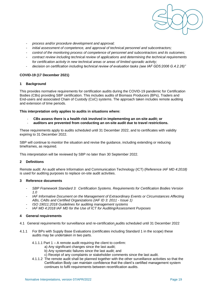

- *- process and/or procedure development and approval;*
- *- initial assessment of competence, and approval of technical personnel and subcontractors;*
- *- control of the monitoring process of competence of personnel and subcontractors and its outcomes;*
- *- contract review including technical review of applications and determining the technical requirements for certification activity in new technical areas or areas of limited sporadic activity;*
- *- decision on certification including technical review of evaluation tasks (see IAF GD5:2006 G.4.2.26)"*

#### **COVID-19 (17 December 2021)**

#### **1 Background**

This provides normative requirements for certification audits during the COVID-19 pandemic for Certification Bodies (CBs) providing SBP certification. This includes audits of Biomass Producers (BPs), Traders and End-users and associated Chain of Custody (CoC) systems. The approach taken includes remote auditing and extension of time periods.

#### **This interpretation only applies to audits in situations where:**

- **CBs assess there is a health risk involved in implementing an on-site audit; or**
- **auditors are prevented from conducting an on-site audit due to travel restrictions.**

These requirements apply to audits scheduled until 31 December 2022, and to certificates with validity expiring to 31 December 2022.

SBP will continue to monitor the situation and revise the guidance, including extending or reducing timeframes, as required.

This interpretation will be reviewed by SBP no later than 30 September 2022.

#### **2 Definitions**

Remote audit: An audit where Information and Communication Technology (ICT) (Reference *IAF MD 4:2018)* is used for auditing purposes to replace on-site audit activities.

#### **3 Reference documents**

- *- SBP Framework Standard 3: Certification Systems. Requirements for Certification Bodies Version 1.0*
- *- IAF Informative Document on the Management of Extraordinary Events or Circumstances Affecting ABs, CABs and Certified Organizations (IAF ID 3: 2011 - Issue 1)*
- *- ISO 19011:2018 Guidelines for auditing management systems*
- *- IAF MD 4:2018 IAF MD for the Use of ICT for Auditing/Assessment Purposes*

#### **4 General requirements**

- 4.1 General requirements for surveillance and re-certification audits scheduled until 31 December 2022
- 4.1.1 For BPs with Supply Base Evaluations (certificates including Standard 1 in the scope) these audits may be undertaken in two parts.
	- 4.1.1.1 Part 1 A remote audit requiring the client to confirm:
		- a) Any significant changes since the last audit;
		- b) Any systematic failures since the last audit; and
		- c) Receipt of any complaints or stakeholder comments since the last audit.
	- 4.1.1.2 The remote audit shall be planned together with the other surveillance activities so that the Certification Body can maintain confidence that the client's certified management system continues to fulfil requirements between recertification audits.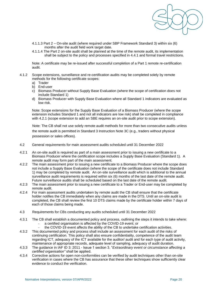

- 4.1.1.3 Part 2 On-site audit (where required under SBP Framework Standard 3) within six (6) months after the audit field work target date.
- 4.1.1.4 The Part 2 on-site audit shall be planned at the time of the remote audit, its implementation shall be subject to the policy and processes specified in 4.4.1 and formal travel restrictions.

Note: A certificate may be re-issued after successful completion of a Part 1 remote re-certification audit.

- 4.1.2 Scope extensions, surveillance and re-certification audits may be completed solely by remote methods for the following certificate scopes:
	- a) Trader
	- b) End-user
	- c) Biomass Producer without Supply Base Evaluation (where the scope of certification does not include Standard 1)
	- d) Biomass Producer with Supply Base Evaluation where all Standard 1 indicators are evaluated as low risk.

Note: Scope extensions for the Supply Base Evaluation of a Biomass Producer (where the scope extension includes Standard 1 and not all indicators are low risk) shall be completed in compliance with 4.2.1 (scope extension to add an SBE requires an on-site audit prior to scope extension).

Note: The CB shall not use solely remote audit methods for more than two consecutive audits unless the remote audit is permitted in Standard 3 Instruction Note 3C (e.g., traders without physical possession or sales offices).

- 4.2 General requirements for main assessment audits scheduled until 31 December 2022
- 4.2.1 An on-site audit is required as part of a main assessment prior to issuing a new certificate to a Biomass Producer where the certification scope includes a Supply Base Evaluation (Standard 1). A remote audit may form part of the main assessment.
- 4.2.2 The main assessment prior to issuing a new certificate to a Biomass Producer where the scope does not include a Supply Base Evaluation (where the scope of the certificate does not include Standard 1) may be completed by remote audit. An on-site surveillance audit which is additional to the annual surveillance audit requirements is required within six (6) months of the last date of the remote audit. Future surveillance audits shall be scheduled based on the last date of the remote audit.
- 4.2.3 The main assessment prior to issuing a new certificate to a Trader or End-user may be completed by remote audit.
- 4.2.4 For main assessment audits undertaken by remote audit the CB shall ensure that the certificate holder notifies the CB immediately when any claims are made in the DTS. Until an on-site audit is completed, the CB shall review the first 10 DTS claims made by the certificate holder within 7 days of each of those claims being made.
- 4.3 Requirements for CBs conducting any audits scheduled until 31 December 2022
- 4.3.1 The CB shall establish a documented policy and process, outlining the steps it intends to take where:
	- a certified organisation is affected by the COVID-19 event; or
	- the COVID-19 event affects the ability of the CB to undertake certification activities.
- 4.3.2 This documented policy and process shall include an assessment for each audit of the risks of continuing certification. This policy shall also ensure confidentiality, competence of the audit team regarding ICT, adequacy of the ICT available for the auditor/ audit and for each type of audit activity, maintenance of appropriate records, adequate level of sampling, adequacy of audit duration.
- 4.3.3 The guidance in IAF ID 3: 2011 Issue 1 section 3. "*Extraordinary event or circumstance affecting a certified organisation"* shall be applied.
- 4.3.4 Corrective actions for open non-conformities can be verified by audit techniques other than on-site verification in cases where the CB has assurance that these other techniques show sufficiently clear evidence to conduct the verification.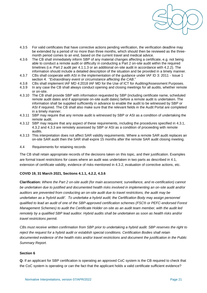

- 4.3.5 For valid certificates that have corrective actions pending verification, the verification deadline may be extended by a period of no more than three months, which should then be reviewed as the threemonth period comes to an end, based on the current travel and medical advice.
- 4.3.6 The CB shall immediately inform SBP of any material changes affecting a certificate, e.g. not being able to conduct a remote audit or difficulty in conducting a Part 2 on-site audit within the required timelines (i.e. Part 2 audit per 4.1.1.3 or an additional on-site audit in accordance with 4.2.2). The information should include a detailed description of the situation and be provided in a timely manner.
- 4.3.7 CBs shall cooperate with ASI in the implementation of the guidance under IAF ID 3: 2011 Issue 1 section 4. "*Extraordinary event or circumstance affecting the CAB*."
- 4.3.8 CBs shall implement IAF MD 4:2018 IAF MD for the Use of ICT for Auditing/Assessment Purposes.
- 4.3.9 In any case the CB shall always conduct opening and closing meetings for all audits, whether remote or on-site.
- 4.3.10 The CB shall provide SBP with information requested by SBP (including certificate name, scheduled remote audit dates and if appropriate on-site audit dates) before a remote audit is undertaken. The information shall be supplied sufficiently in advance to enable the audit to be witnessed by SBP or ASI if required. The CB shall also make sure that the relevant fields in the Audit Portal are completed in a timely manner.
- 4.3.11 SBP may require that any remote audit is witnessed by SBP or ASI as a condition of undertaking the remote audit.
- 4.3.12 SBP may require that any aspect of these requirements, including the procedures specified in 4.3.1, 4.3.2 and 4.3.3 are remotely assessed by SBP or ASI as a condition of proceeding with remote audits.
- 4.3.13 This interpretation does not affect SAR validity requirements. Where a remote SAR audit replaces an on-site SAR audit then the SAR shall expire 15 months after the remote SAR audit closing meeting.
- 4.4 Requirements for retaining records

The CB shall retain appropriate records of the decisions taken on this topic, and their justification. Examples are formal travel restrictions for cases where an audit was undertaken in two parts as described in 4.1, extension of certificate validity, evidence of risks mentioned in 4.3.2, evaluation of corrective actions, etc.

#### **COVID 19, 31 March 2021, Sections 4.1.1, 4.2.2, 4.3.6**

**Clarification:** *Where the Part 2 on-site audit (for main assessment, surveillance, and re-certification) cannot be undertaken due to justified and documented health risks involved in implementing an on-site audit and/or auditors are prevented from conducting an on-site audit due to travel restrictions, the audit may be undertaken as a 'hybrid audit'. To undertake a hybrid audit, the Certification Body may assign personnel qualified to lead an audit of one of the SBP-approved certification schemes (FSC® or PEFC-endorsed Forest Management Schemes) to audit the Certificate Holder on-site as an audit team member, with the audit led remotely by a qualified SBP lead auditor. Hybrid audits shall be undertaken as soon as health risks and/or travel restrictions permit.* 

*CBs must receive written confirmation from SBP prior to undertaking a hybrid audit. SBP reserves the right to reject the request for a hybrid audit or establish special conditions. Certification Bodies shall retain documented evidence of the health risks and/or travel restrictions and document the justification in the Public Summary Report.*

#### **Section 6**

**Q:** If an applicant for SBP certification is operating an approved CoC system is the CB required to check that the CoC system is operating or can the fact that the applicant holds a valid certificate sufficient evidence?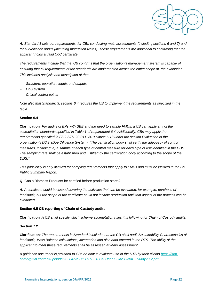

*A: Standard 3 sets out requirements for CBs conducting main assessments (including sections 6 and 7) and*  for surveillance audits (including Instruction Notes). These requirements are additional to confirming that the *applicant holds a valid CoC certificate.* 

*The requirements include that the CB confirms that the organisation's management system is capable of ensuring that all requirements of the standards are implemented across the entire scope of the evaluation. This includes analysis and description of the:* 

- − *Structure, operation, inputs and outputs*
- − *CoC system*
- − *Critical control points*

*Note also that Standard 3, section 6.4 requires the CB to implement the requirements as specified in the table.* 

#### **Section 6.4**

**Clarification***: For audits of BPs with SBE and the need to sample FMUs, a CB can apply any of the accreditation standards specified in Table 1 of requirement 6.4. Additionally, CBs may apply the requirements specified in FSC-STD-20-011 V4-0 clause 6.18 under the section Evaluation of the organisation's DDS (Due Diligence System): "The certification body shall verify the adequacy of control measures, including: a) a sample of each type of control measure for each type of risk identified in the DDS. The sampling rate shall be established and justified by the certification body according to the scope of the DDS."* 

*This possibility is only allowed for sampling requirements that apply to FMUs and must be justified in the CB Public Summary Report.* 

**Q:** Can a Biomass Producer be certified before production starts?

*A: A certificate could be issued covering the activities that can be evaluated, for example, purchase of feedstock, but the scope of the certificate could not include production until that aspect of the process can be evaluated.* 

#### **Section 6.5 CB reporting of Chain of Custody audits**

**Clarification***: A CB shall specify which scheme accreditation rules it is following for Chain of Custody audits.*

#### **Section 7.2**

**Clarification***: The requirements in Standard 3 include that the CB shall audit Sustainability Characteristics of*  feedstock, Mass Balance calculations, inventories and also data entered in the DTS. The ability of the *applicant to meet these requirements shall be assessed at Main Assessment.* 

*A guidance document is provided to CBs on how to evaluate use of the DTS by their clients [https://sbp](https://sbp-cert.org/wp-content/uploads/2020/05/SBP-DTS-2.0-CB-User-Guide-FINAL-29May20-2.pdf)[cert.org/wp-content/uploads/2020/05/SBP-DTS-2.0-CB-User-Guide-FINAL-29May20-2.pdf](https://sbp-cert.org/wp-content/uploads/2020/05/SBP-DTS-2.0-CB-User-Guide-FINAL-29May20-2.pdf)*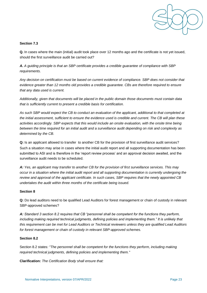

#### **Section 7.3**

**Q.** In cases where the main (initial) audit took place over 12 months ago and the certificate is not yet issued, should the first surveillance audit be carried out?

*A. A guiding principle is that an SBP certificate provides a credible guarantee of compliance with SBP requirements.* 

*Any decision on certification must be based on current evidence of compliance. SBP does not consider that evidence greater than 12 months old provides a credible guarantee. CBs are therefore required to ensure that any data used is current.* 

*Additionally, given that documents will be placed in the public domain those documents must contain data that is sufficiently current to present a credible basis for certification.* 

*As such SBP would expect the CB to conduct an evaluation of the applicant, additional to that completed at the initial assessment, sufficient to ensure the evidence used is credible and current. The CB will plan these activities accordingly. SBP expects that this would include an onsite evaluation, with the onsite time being between the time required for an initial audit and a surveillance audit depending on risk and complexity as determined by the CB.* 

**Q:** Is an applicant allowed to transfer to another CB for the provision of first surveillance audit services? Such a situation may arise in cases where the initial audit report and all supporting documentation has been submitted to ASI and is therefore in the 'report review process' and an approval decision awaited, and the surveillance audit needs to be scheduled.

*A: Yes, an applicant may transfer to another CB for the provision of first surveillance services. This may occur in a situation where the initial audit report and all supporting documentation is currently undergoing the review and approval of the applicant certificate. In such cases, SBP requires that the newly appointed CB undertakes the audit within three months of the certificate being issued.* 

#### **Section 8**

**Q:** Do lead auditors need to be qualified Lead Auditors for forest management or chain of custody in relevant SBP-approved schemes?

*A: Standard 3 section 8.2 requires that CB "personnel shall be competent for the functions they perform,*  including making required technical judgments, defining policies and implementing them." It is unlikely that *this requirement can be met for Lead Auditors or Technical reviewers unless they are qualified Lead Auditors for forest management or chain of custody in relevant SBP-approved schemes.* 

#### **Section 8.2**

Section 8.2 states*: "The personnel shall be competent for the functions they perform, including making required technical judgments, defining policies and implementing them."*

**Clarification:** *The Certification Body shall ensure that:*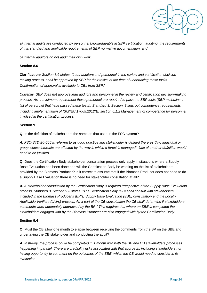

*a) internal audits are conducted by personnel knowledgeable in SBP certification, auditing, the requirements of this standard and applicable requirements of SBP normative documentation; and*

*b) internal auditors do not audit their own work.*

#### **Section 8.6**

**Clarification***: Section 8.6 states: "Lead auditors and personnel in the review and certification decisionmaking process shall be approved by SBP for their tasks at the time of undertaking those tasks. Confirmation of approval is available to CBs from SBP."* 

*Currently, SBP does not approve lead auditors and personnel in the review and certification decision-making process. As a minimum requirement those personnel are required to pass the SBP tests (SBP maintains a list of personnel that have passed these tests). Standard 3, Section 8 sets out competence requirements*  including implementation of ISO/IEC 17065:2012(E) section 6.1.2 Management of competence for personnel *involved in the certification process.* 

#### **Section 9**

**Q:** Is the definition of stakeholders the same as that used in the FSC system?

*A: FSC-STD-20-006 is referred to as good practice and stakeholder is defined there as "Any individual or group whose interests are affected by the way in which a forest is managed". Use of another definition would need to be justified.* 

**Q:** Does the Certification Body stakeholder consultation process only apply in situations where a Supply Base Evaluation has been done and will the Certification Body be working on the list of stakeholders provided by the Biomass Producer? Is it correct to assume that if the Biomass Producer does not need to do a Supply Base Evaluation there is no need for stakeholder consultation at all?

*A: A stakeholder consultation by the Certification Body is required irrespective of the Supply Base Evaluation process. Standard 3, Section 9.3 states: "The Certification Body (CB) shall consult with stakeholders included in the Biomass Producer's (BP's) Supply Base Evaluation (SBE) consultation and the Locally Applicable Verifiers (LAVs) process. As a part of the CB consultation the CB shall determine if stakeholders' comments were adequately addressed by the BP." This requires that where an SBE is completed the stakeholders engaged with by the Biomass Producer are also engaged with by the Certification Body.* 

#### **Section 9.4**

**Q:** Must the CB allow one month to elapse between receiving the comments from the BP on the SBE and undertaking the CB stakeholder and conducting the audit?

*A: In theory, the process could be completed in 1 month with both the BP and CB stakeholders processes happening in parallel. There are credibility risks associated with that approach, including stakeholders not having opportunity to comment on the outcomes of the SBE, which the CB would need to consider in its evaluation.*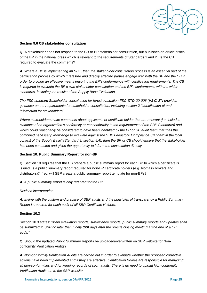

#### **Section 9.6 CB stakeholder consultation**

**Q:** A stakeholder does not respond to the CB or BP stakeholder consultation, but publishes an article critical of the BP in the national press which is relevant to the requirements of Standards 1 and 2. Is the CB required to evaluate the comments?

*A: Where a BP is implementing an SBE, then the stakeholder consultation process is an essential part of the certification process by which interested and directly affected parties engage with both the BP and the CB in order to provide an effective means ensuring the BP's conformance with certification requirements. The CB is required to evaluate the BP's own stakeholder consultation and the BP's conformance with the wider standards, including the results of the Supply Base Evaluation.*

*The FSC standard Stakeholder consultation for forest evaluation FSC-STD-20-006 (V3-0) EN provides guidance on the requirements for stakeholder consultation, including section 2 'Identification of and information for stakeholders'.*

*Where stakeholders make comments about applicants or certificate holder that are relevant,(i.e. includes evidence of an organization's conformity or nonconformity to the requirements of the SBP Standards) and which could reasonably be considered to have been identified by the BP or CB audit team that "has the combined necessary knowledge to evaluate against the SBP Feedstock Compliance Standard in the local context of the Supply Base" (Standard 3, section 8.4), then the BP or CB should ensure that the stakeholder has been contacted and given the opportunity to inform the consultation directly.*

#### **Section 10: Public Summary Report for non-BP**

**Q:** Section 10 requires that the CB prepare a public summary report for each BP to which a certificate is issued. Is a public summary report required for non-BP certificate holders (e.g. biomass brokers and distributors)? If so, will SBP create a public summary report template for non-BPs?

*A: A public summary report is only required for the BP.* 

#### *Revised interpretation:*

*A: In-line with the custom and practice of SBP audits and the principles of transparency a Public Summary Report is required for each audit of all SBP Certificate Holders.*

#### **Section 10.3**

Section 10.3 states: *"Main evaluation reports, surveillance reports, public summary reports and updates shall be submitted to SBP no later than ninety (90) days after the on-site closing meeting at the end of a CB audit."*

**Q:** Should the updated Public Summary Reports be uploaded/overwritten on SBP website for Nonconformity Verification Audits?

*A: Non-conformity Verification Audits are carried out in order to evaluate whether the proposed corrective actions have been implemented and if they are effective. Certification Bodies are responsible for managing all non-conformities and for keeping records of such audits. There is no need to upload Non-conformity Verification Audits on to the SBP website.*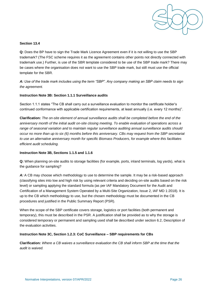

#### **Section 13.4**

**Q:** Does the BP have to sign the Trade Mark Licence Agreement even if it is not willing to use the SBP trademark? (The FSC scheme requires it as the agreement contains other points not directly connected with trademark use.) Further, is use of the SBR template considered to be use of the SBP trade mark? There may be cases where the organisation does not want to use the SBP trade mark, but still must use the official template for the SBR.

*A: Use of the trade mark includes using the term "SBP". Any company making an SBP claim needs to sign the agreement.* 

#### **Instruction Note 3B: Section 1.1.1 Surveillance audits**

Section 1.1.1 states "The CB shall carry out a surveillance evaluation to monitor the certificate holder's continued conformance with applicable certification requirements, at least annually (i.e. every 12 months)".

**Clarification:** *The on-site element of annual surveillance audits shall be completed before the end of the anniversary month of the initial audit on-site closing meeting. To enable evaluation of operations across a range of seasonal variation and to maintain regular surveillance auditing annual surveillance audits should occur no more than up to six (6) months before this anniversary. CBs may request from the SBP secretariat to use an alternative anniversary month for specific Biomass Producers, for example where this facilitates efficient audit scheduling.*

#### **Instruction Note 3B, Sections 1.1.5 and 1.1.6**

**Q:** When planning on-site audits to storage facilities (for example, ports, inland terminals, log yards), what is the guidance for sampling?

A: A CB may choose which methodology to use to determine the sample. It may be a risk-based approach (classifying sites into low and high risk by using relevant criteria and deciding on-site audits based on the risk level) or sampling applying the standard formula (as per IAF Mandatory Document for the Audit and Certification of a Management System Operated by a Multi-Site Organization, Issue 2, IAF MD 1:2018). It is up to the CB which methodology to use, but the chosen methodology must be documented in the CB procedures and justified in the Public Summary Report (PSR).

When the scope of the SBP certificate covers storage, logistics or port facilities (both permanent and temporary), this must be described in the PSR. A justification shall be provided as to why the storage is considered temporary or permanent and sampling used shall be described under section 6.2, Description of the evaluation activities.

#### **Instruction Note 3C, Section 1.2.3: CoC Surveillance – SBP requirements for CBs**

**Clarification***: Where a CB waives a surveillance evaluation the CB shall inform SBP at the time that the audit is waived.*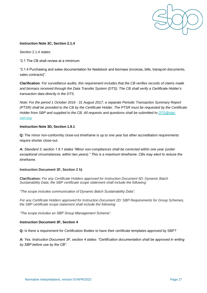

#### **Instruction Note 3C, Section 2.1.4**

Section 2.1.4 states:

"2.1 The CB shall review at a minimum:

"2.1.4 Purchasing and sales documentation for feedstock and biomass (invoices, bills, transport documents, sales contracts)".

**Clarification***: For surveillance audits, this requirement includes that the CB verifies records of claims made and biomass received through the Data Transfer System (DTS). The CB shall verify a Certificate Holder's transaction data directly in the DTS.*

*Note: For the period 1 October 2016 - 31 August 2017, a separate Periodic Transaction Summary Report (PTSR) shall be provided to the CB by the Certificate Holder. The PTSR must be requested by the Certificate*  Holder from SBP and supplied to the CB. All requests and questions shall be submitted to *DTS*@sbp*[cert.org.](mailto:DTS@sbp-cert.org)*

#### **Instruction Note 3D, Section 1.9.1**

**Q:** The minor non-conformity close-out timeframe is up to one year but other accreditation requirements require shorter close-out.

*A: Standard 3, section 1.9.1 states "Minor non-compliances shall be corrected within one year (under exceptional circumstances, within two years)." This is a maximum timeframe. CBs may elect to reduce the timeframe.* 

#### **Instruction Document 3F, Section 2 h)**

**Clarification:** *For any Certificate Holders approved for Instruction Document 5D: Dynamic Batch Sustainability Data, the SBP certificate scope statement shall include the following:*

*"The scope includes communication of Dynamic Batch Sustainability Data"*.

*For any Certificate Holders approved for Instruction Document 2D: SBP Requirements for Group Schemes, the SBP certificate scope statement shall include the following:*

*"The scope includes an SBP Group Management Scheme".*

#### **Instruction Document 3F, Section 4**

**Q:** Is there a requirement for Certification Bodies to have their certificate templates approved by SBP?

*A: Yes. Instruction Document 3F, section 4 states: "Certification documentation shall be approved in writing by SBP before use by the CB".*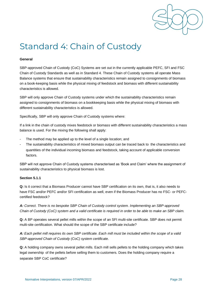

# <span id="page-30-0"></span>Standard 4: Chain of Custody

#### **General**

SBP-approved Chain of Custody (CoC) Systems are set out in the currently applicable PEFC, SFI and FSC Chain of Custody Standards as well as in Standard 4. These Chain of Custody systems all operate Mass Balance systems that ensure that sustainability characteristics remain assigned to consignments of biomass on a book-keeping basis while the physical mixing of feedstock and biomass with different sustainability characteristics is allowed.

SBP will only approve Chain of Custody systems under which the sustainability characteristics remain assigned to consignments of biomass on a bookkeeping basis while the physical mixing of biomass with different sustainability characteristics is allowed.

Specifically, SBP will only approve Chain of Custody systems where:

If a link in the chain of custody mixes feedstock or biomass with different sustainability characteristics a mass balance is used. For the mixing the following shall apply:

- The method may be applied up to the level of a single location; and
- The sustainability characteristics of mixed biomass output can be traced back to the characteristics and quantities of the individual incoming biomass and feedstock, taking account of applicable conversion factors.

SBP will not approve Chain of Custody systems characterised as 'Book and Claim' where the assignment of sustainability characteristics to physical biomass is lost.

#### **Section 5.1.1**

**Q:** Is it correct that a Biomass Producer cannot have SBP certification on its own, that is, it also needs to have FSC and/or PEFC and/or SFI certification as well, even if the Biomass Producer has no FSC- or PEFCcertified feedstock?

*A: Correct. There is no bespoke SBP Chain of Custody control system. Implementing an SBP-approved Chain of Custody (CoC) system and a valid certificate is required in order to be able to make an SBP claim.* 

**Q:** A BP operates several pellet mills within the scope of an SFI multi-site certificate. SBP does not permit multi-site certification. What should the scope of the SBP certificate include?

*A: Each pellet mill requires its own SBP certificate. Each mill must be included within the scope of a valid SBP-approved Chain of Custody (CoC) system certificate.* 

**Q:** A holding company owns several pellet mills. Each mill sells pellets to the holding company which takes legal ownership of the pellets before selling them to customers. Does the holding company require a separate SBP CoC certificate?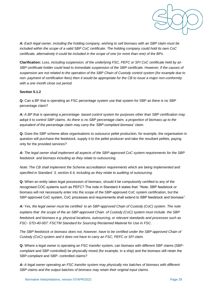

*A: Each legal owner, including the holding company, wishing to sell biomass with an SBP claim must be included within the scope of a valid SBP CoC certificate. The holding company could hold its own CoC certificate, alternatively it could be included in the scope of one (or more than one) of the BPs.* 

**Clarification:** *Loss, including suspension, of the underlying FSC, PEFC or SFI CoC certificate held by an SBP certificate holder could lead to immediate suspension of the SBP certificate. However, if the causes of suspension are not related to the operation of the SBP Chain of Custody control system (for example due to non- payment of certification fees) then it would be appropriate for the CB to issue a major non-conformity with a one month close out period.* 

#### **Section 5.1.2**

**Q:** Can a BP that is operating an FSC percentage system use that system for SBP as there is no SBP percentage claim?

*A: A BP that is operating a percentage- based control system for purposes other than SBP certification may adopt it to control SBP claims. As there is no SBP percentage claim, a proportion of biomass up to the equivalent of the percentage claim may carry the 'SBP-compliant biomass' claim.* 

**Q:** Does the SBP scheme allow organisations to outsource pellet production, for example, the organisation in question will purchase the feedstock, supply it to the pellet producer and take the resultant pellets, paying only for the provided services?

*A: The legal owner shall implement all aspects of the SBP-approved CoC system requirements for the SBP feedstock and biomass including as they relate to outsourcing.* 

*Note: The CB shall implement the Scheme accreditation requirements which are being implemented and specified in Standard 3, section 6.4, including as they relate to auditing of outsourcing.* 

**Q:** When an entity takes legal possession of biomass, should it be compulsorily certified to any of the recognised COC systems such as PEFC? The note in Standard 4 states that: "Note: SBP feedstock or biomass will not necessarily enter into the scope of the SBP-approved CoC system certification, but the SBP-approved CoC system, CoC processes and requirements shall extend to SBP feedstock and biomass".

*A: Yes, the legal owner must be certified to an SBP-approved Chain of Custody (CoC) system. The note explains that the scope of the an SBP-approved Chain of Custody (CoC) system must include the SBP feedstock and biomass e.g. physical locations, outsourcing, or relevant standards and processes such as FSC- STD-40-007: FSCTM Standard for Sourcing Reclaimed Material for Use in FSC.* 

The SBP feedstock or biomass does not, however, have to be certified under the SBP-approved Chain of *Custody (CoC) system and it does not have to carry an FSC, PEFC or SFI claim.* 

**Q:** Where a legal owner is operating an FSC transfer system, can biomass with different SBP claims (SBPcompliant and SBP-controlled) be physically mixed (for example, in a ship) and the biomass still retain the SBP-compliant and SBP- controlled claims?

*A: A legal owner operating an FSC transfer system may physically mix batches of biomass with different SBP claims and the output batches of biomass may retain their original input claims.*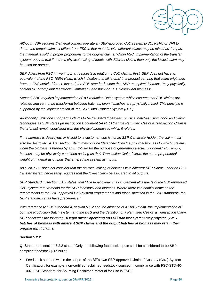

*Although SBP requires that legal owners operate an SBP-approved CoC system (FSC, PEFC or SFI) to determine output claims, it differs from FSC in that material with different claims may be mixed as long as the material is sold in proper proportions to the original claims. Within FSC, implementation of the transfer system requires that if there is physical mixing of inputs with different claims then only the lowest claim may be used for outputs.* 

*SBP differs from FSC in two important respects in relation to CoC claims. First, SBP does not have an equivalent of the FSC 100% claim, which indicates that all 'atoms' in a product carrying that claim originated from an FSC certified forest. Instead, the SBP standards state that SBP- compliant biomass "may physically contain SBP-compliant feedstock, Controlled Feedstock or EUTR-compliant biomass".* 

*Second, SBP requires implementation of a Production Batch system which ensures that SBP claims are retained and cannot be transferred between batches, even if batches are physically mixed. This principle is supported by the implementation of the SBP Data Transfer System (DTS).* 

*Additionally, SBP does not permit claims to be transferred between physical batches using 'book and claim' techniques as SBP states (in Instruction Document 5A v1.1) that the Permitted Use of a Transaction Claim is that it "must remain consistent with the physical biomass to which it relates.* 

*If the biomass is destroyed, or is sold to a customer who is not an SBP Certificate Holder, the claim must also be destroyed. A Transaction Claim may only be 'detached' from the physical biomass to which it relates*  when the biomass is burned by an End-User for the purpose of generating electricity or heat." Put simply, *batches may be physically combined as long as their Transaction Claim follows the same proportional weight of material as outputs that entered the system as inputs.* 

*As such, SBP does not consider that the physical mixing of biomass with different SBP claims under an FSC transfer system necessarily requires that the lowest claim be allocated to all outputs.* 

*SBP Standard 4, section 5.1.2 states that "The legal owner shall implement all aspects of the SBP-approved CoC system requirements for the SBP feedstock and biomass. Where there is a conflict between the requirements in the SBP-approved CoC system requirements and those specified in the SBP standards, the SBP standards shall have precedence."* 

*With reference to SBP Standard 4, section 5.1.2 and the absence of a 100% claim, the implementation of both the Production Batch system and the DTS and the definition of a Permitted Use of a Transaction Claim, SBP concludes the following: A legal owner operating an FSC transfer system may physically mix batches of biomass with different SBP claims and the output batches of biomass may retain their original input claims.* 

#### **Section 5.2.2**

**Q:** Standard 4, section 5.2.2 states "Only the following feedstock inputs shall be considered to be SBPcompliant feedstock [3rd bullet]

• Feedstock sourced within the scope of the BP's own SBP-approved Chain of Custody (CoC) System Certification, for example, non-certified reclaimed feedstock sourced in compliance with FSC-STD-40- 007: FSC Standard for Sourcing Reclaimed Material for Use in FSC."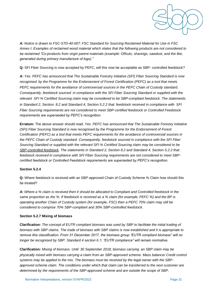

*A: Notice is drawn to FSC-STD-40-007: FSC Standard for Sourcing Reclaimed Material for Use in FSC Annex I: Examples of reclaimed wood material which states that the following products are not considered to be reclaimed "Co-products from virgin parent materials (example: Offcuts, shavings, sawdust, and the like, generated during primary manufacture of logs)."* 

**Q:** SFI Fiber Sourcing is now accepted by PEFC, will this now be acceptable as SBP- controlled feedstock?

*A: Yes. PEFC has announced that The Sustainable Forestry Initiative (SFI) Fiber Sourcing Standard is now recognised by the Programme for the Endorsement of Forest Certification (PEFC) as a tool that meets PEFC requirements for the avoidance of controversial sources in the PEFC Chain of Custody standard. Consequently, feedstock sourced in compliance with the SFI Fiber Sourcing Standard or supplied with the relevant SFI % Certified Sourcing claim may be considered to be SBP-compliant feedstock. The statements in Standard 2, Section 8.2 and Standard 4, Section 5.2.2 that: feedstock received in compliance with SFI Fiber Sourcing requirements are not considered to meet SBP-certified feedstock or Controlled Feedstock requirements are superseded by PEFC's recognition.* 

**Erratum:** The above answer should read: *Yes. PEFC has announced that The Sustainable Forestry Initiative (SFI) Fiber Sourcing Standard is now recognised by the Programme for the Endorsement of Forest Certification (PEFC) as a tool that meets PEFC requirements for the avoidance of controversial sources in the PEFC Chain of Custody standard. Consequently, feedstock sourced in compliance with the SFI Fiber Sourcing Standard or supplied with the relevant SFI % Certified Sourcing claim may be considered to be SBP-controlled feedstock. The statements in Standard 2, Section 8.2 and Standard 4, Section 5.2.2 that: feedstock received in compliance with SFI Fiber Sourcing requirements are not considered to meet SBPcertified feedstock or Controlled Feedstock requirements are superseded by PEFC's recognition.*

#### **Section 5.2.4**

**Q:** Where feedstock is received with an SBP-approved Chain of Custody Scheme % Claim how should this be treated?

*A: Where a % claim is received then it should be allocated to Compliant and Controlled feedstock in the same proportion as the %. If feedstock is received as a % claim (for example, PEFC %) and the BP is operating another Chain of Custody system (for example, FSC) then a PEFC 70% claim may still be considered to comprise 70% SBP-compliant and 30% SBP-controlled feedstock.* 

#### **Section 5.2.7 Mixing of biomass**

**Clarification***: The concept of EUTR compliant biomass was used by SBP to facilitate the initial trading of biomass with SBP claims. The trade of biomass with SBP claims is now established and it is appropriate to remove this classification. From 31 December 2017, the biomass group "EUTR compliant biomass" will no longer be recognised by SBP. Standard 4 section 6.1, "EUTR compliance" will remain normative.* 

**Clarification***: Mixing of biomass. Until 30 September 2018, biomass carrying an SBP claim may be physically mixed with biomass carrying a claim from an SBP-approved scheme. Mass balance/ Credit control systems may be applied to the mix. The biomass must be received by the legal owner with the SBPapproved scheme claim. The conditions under which that claim can be transferred to the next customer are determined by the requirements of the SBP-approved scheme and are outside the scope of SBP.*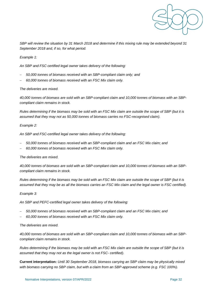

*SBP will review the situation by 31 March 2018 and determine if this mixing rule may be extended beyond 31 September 2018 and, if so, for what period.* 

*Example 1:* 

*An SBP and FSC certified legal owner takes delivery of the following:* 

- − *50,000 tonnes of biomass received with an SBP-compliant claim only; and*
- − *60,000 tonnes of biomass received with an FSC Mix claim only.*

#### *The deliveries are mixed.*

*40,000 tonnes of biomass are sold with an SBP-compliant claim and 10,000 tonnes of biomass with an SBPcompliant claim remains in stock.* 

*Rules determining if the biomass may be sold with an FSC Mix claim are outside the scope of SBP (but it is assumed that they may not as 50,000 tonnes of biomass carries no FSC-recognised claim).* 

#### *Example 2:*

*An SBP and FSC-certified legal owner takes delivery of the following:* 

- − *50,000 tonnes of biomass received with an SBP-compliant claim and an FSC Mix claim; and*
- − *60,000 tonnes of biomass received with an FSC Mix claim only.*

#### *The deliveries are mixed.*

*40,000 tonnes of biomass are sold with an SBP-compliant claim and 10,000 tonnes of biomass with an SBPcompliant claim remains in stock.* 

*Rules determining if the biomass may be sold with an FSC Mix claim are outside the scope of SBP (but it is assumed that they may be as all the biomass carries an FSC Mix claim and the legal owner is FSC certified).* 

#### *Example 3:*

*An SBP and PEFC-certified legal owner takes delivery of the following:* 

- − *50,000 tonnes of biomass received with an SBP-compliant claim and an FSC Mix claim; and*
- − *60,000 tonnes of biomass received with an FSC Mix claim only.*

#### *The deliveries are mixed.*

*40,000 tonnes of biomass are sold with an SBP-compliant claim and 10,000 tonnes of biomass with an SBPcompliant claim remains in stock.* 

*Rules determining if the biomass may be sold with an FSC Mix claim are outside the scope of SBP (but it is assumed that they may not as the legal owner is not FSC- certified).* 

**Current interpretation:** *Until 30 September 2018, biomass carrying an SBP claim may be physically mixed*  with biomass carrying no SBP claim, but with a claim from an SBP-approved scheme (e.g. FSC 100%).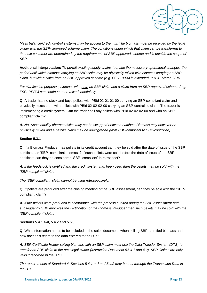

*Mass balance/Credit control systems may be applied to the mix. The biomass must be received by the legal owner with the SBP- approved scheme claim. The conditions under which that claim can be transferred to the next customer are determined by the requirements of SBP-approved scheme and is outside the scope of SBP.* 

**Additional interpretation:** *To permit existing supply chains to make the necessary operational changes, the period until which biomass carrying an SBP claim may be physically mixed with biomass carrying no SBP claim, but with a claim from an SBP-approved scheme (e.g. FSC 100%) is extended until 31 March 2019.* 

*For clarification purposes, biomass with both an SBP-claim and a claim from an SBP-approved scheme (e.g. FSC, PEFC) can continue to be mixed indefinitely.* 

**Q:** A trader has no stock and buys pellets with PBid 01-01-01-00 carrying an SBP-compliant claim and physically mixes them with pellets with PBid 02-02-02-00 carrying an SBP-controlled claim. The trader is implementing a credit system. Can the trader sell any pellets with PBid 02-02-02-00 and with an SBPcompliant claim?

*A: No. Sustainability characteristics may not be swapped between batches. Biomass may however be physically mixed and a batch's claim may be downgraded (from SBP-compliant to SBP-controlled).*

#### **Section 5.3.1**

**Q:** If a Biomass Producer has pellets in its credit account can they be sold after the date of issue of the SBP certificate as 'SBP- compliant' biomass? If such pellets were sold before the date of issue of the SBP certificate can they be considered 'SBP- compliant' in retrospect?

*A: If the feedstock is certified and the credit system has been used then the pellets may be sold with the 'SBP-compliant' claim.* 

*The 'SBP-compliant' claim cannot be used retrospectively.* 

**Q:** If pellets are produced after the closing meeting of the SBP assessment, can they be sold with the 'SBPcompliant' claim?

*A: If the pellets were produced in accordance with the process audited during the SBP assessment and subsequently SBP approves the certification of the Biomass Producer then such pellets may be sold with the 'SBP-compliant' claim.* 

#### **Sections 5.4.1 a-d, 5.4.2 and 5.5.3**

**Q:** What information needs to be included in the sales document, when selling SBP- certified biomass and how does this relate to the data entered to the DTS?

*A: SBP Certificate Holder selling biomass with an SBP claim must use the Data Transfer System (DTS) to transfer an SBP claim to the next legal owner (Instruction Document 5A 4.1 and 4.2). SBP Claims are only valid if recorded in the DTS.* 

*The requirements of Standard 4, Sections 5.4.1 a-d and 5.4.2 may be met through the Transaction Data in the DTS.*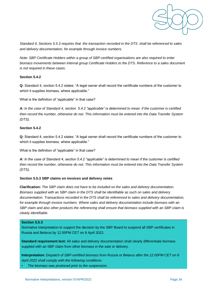

*Standard 4, Sections 5.5.3 requires that the transaction recorded in the DTS shall be referenced to sales and delivery documentation, for example through invoice numbers.* 

*Note: SBP Certificate Holders within a group of SBP-certified organisations are also required to enter biomass movements between internal group Certificate Holders to the DTS. Reference to a sales document is not required in these cases.* 

#### **Section 5.4.2**

**Q:** Standard 4, section 5.4.2 states: "A legal owner shall record the certificate numbers of the customer to which it supplies biomass, where applicable."

What is the definition of "applicable" in that case?

*A: In the case of Standard 4, section 5.4.2 "applicable" is determined to mean if the customer is certified then record the number, otherwise do not. This information must be entered into the Data Transfer System (DTS).* 

#### **Section 5.4.2**

**Q:** Standard 4, section 5.4.2 states: "A legal owner shall record the certificate numbers of the customer to which it supplies biomass, where applicable."

What is the definition of "applicable" in that case?

*A: In the case of Standard 4, section 5.4.2 "applicable" is determined to mean if the customer is certified then record the number, otherwise do not. This information must be entered into the Data Transfer System (DTS).* 

#### **Section 5.5.3 SBP claims on invoices and delivery notes**

**Clarification:** *The SBP claim does not have to be included on the sales and delivery documentation. Biomass supplied with an SBP claim in the DTS shall be identifiable as such on sales and delivery documentation. Transactions recorded in the DTS shall be referenced to sales and delivery documentation,*  for example through invoice numbers. Where sales and delivery documentation include biomass with an *SBP claim and also other products the referencing shall ensure that biomass supplied with an SBP-claim is clearly identifiable.*

#### **Section 5.5.3**

Normative interpretation to support the decision by the SBP Board to suspend all SBP certificates in Russia and Belarus by 12.00PM CET on 8 April 2022.

**Standard requirement text:** All sales and delivery documentation shall clearly differentiate biomass supplied with an SBP claim from other biomass in the sale or delivery.

**Interpretation:** *Dispatch of SBP-certified biomass from Russia or Belarus after the 12.00PM CET on 8 April 2022 shall comply with the following conditions:* 

• *The biomass was produced prior to the suspension;*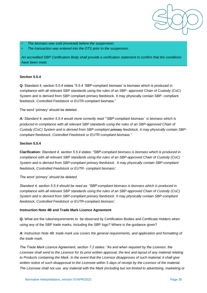

• *The biomass was sold (invoiced) before the suspension;* 

• *The transaction was entered into the DTS prior to the suspension.*

*An accredited SBP Certification Body shall provide a verification statement to confirm that the conditions have been meet.*

#### **Section 5.5.4**

**Q:** Standard 4, section 5.5.4 states "5.5.4 'SBP-compliant biomass' is biomass which is produced in compliance with all relevant SBP standards using the rules of an SBP- approved Chain of Custody (CoC) System and is derived from SBP compliant primary feedstock. It may physically contain SBP- compliant feedstock, Controlled Feedstock or EUTR-compliant biomass."

The word 'primary' should be deleted.

*A: Standard 4, section 5.5.4 would more correctly read "'SBP-compliant biomass' is biomass which is produced in compliance with all relevant SBP standards using the rules of an SBP-approved Chain of Custody (CoC) System and is derived from SBP compliant primary feedstock. It may physically contain SBPcompliant feedstock, Controlled Feedstock or EUTR-compliant biomass."* 

#### **Section 5.5.4**

**Clarification:** *Standard 4, section 5.5.4 states: "SBP-compliant biomass is biomass which is produced in compliance with all relevant SBP standards using the rules of an SBP-approved Chain of Custody (CoC) System and is derived from SBP-compliant primary feedstock. It may physically contain SBP-compliant feedstock, Controlled Feedstock or EUTR- compliant biomass'.* 

*The word 'primary' should be deleted.* 

*Standard 4, section 5.5.4 should be read as: "SBP-compliant biomass is biomass which is produced in compliance with all relevant SBP standards using the rules of an SBP-approved Chain of Custody (CoC) System and is derived from SBP-compliant primary feedstock. It may physically contain SBP-compliant feedstock, Controlled Feedstock or EUTR-compliant biomass'.* 

#### **Instruction Note 4B and Trade Mark Licence Agreement**

**Q:** What are the rules/requirements to be observed by Certification Bodies and Certificate Holders when using any of the SBP trade marks, including the SBP logo? Where is the guidance given?

*A: Instruction Note 4B: trade mark use covers the general requirements, and application and formatting of the trade mark.* 

*The Trade Mark Licence Agreement, section 7.2 states: "As and when required by the Licensor, the Licensee shall send to the Licensor for its prior written approval, the text and layout of any material relating*  to Products containing the Mark. In the event that the Licensor disapproves of such material, it shall give written notice of such disapproval to the Licensee within 5 days of receipt by the Licensor of the material. *The Licensee shall not use any material with the Mark (including but not limited to advertising, marketing or*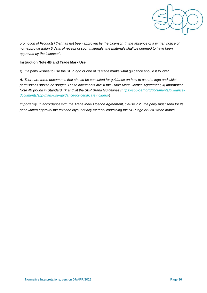

*promotion of Products) that has not been approved by the Licensor. In the absence of a written notice of non-approval within 5 days of receipt of such materials, the materials shall be deemed to have been approved by the Licensor".* 

#### **Instruction Note 4B and Trade Mark Use**

**Q:** If a party wishes to use the SBP logo or one of its trade marks what guidance should it follow?

*A: There are three documents that should be consulted for guidance on how to use the logo and which permissions should be sought. Those documents are: i) the Trade Mark Licence Agreement; ii) Information Note 4B (found in Standard 4); and iii) the SBP Brand Guidelines [\(https://sbp-cert.org/documents/guidance](https://sbp-cert.org/documents/guidance-documents/sbp-mark-use-guidance-for-certificate-holders/)[documents/sbp-mark-use-guidance-for-certificate-holders/\)](https://sbp-cert.org/documents/guidance-documents/sbp-mark-use-guidance-for-certificate-holders/)* 

*Importantly, in accordance with the Trade Mark Licence Agreement, clause 7.2, the party must send for its prior written approval the text and layout of any material containing the SBP logo or SBP trade marks.*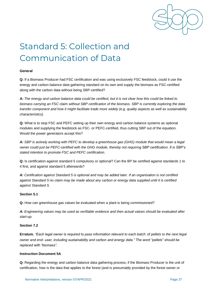

# <span id="page-39-0"></span>Standard 5: Collection and Communication of Data

#### **General**

**Q:** If a Biomass Producer had FSC certification and was using exclusively FSC feedstock, could it use the energy and carbon balance data gathering standard on its own and supply the biomass as FSC-certified along with the carbon data without being SBP-certified?

*A: The energy and carbon balance data could be certified, but it is not clear how this could be linked to biomass carrying an FSC claim without SBP certification of the biomass. SBP is currently exploring the data transfer component and how it might facilitate trade more widely (e.g. quality aspects as well as sustainability characteristics).* 

**Q:** What is to stop FSC and PEFC setting up their own energy and carbon balance systems as optional modules and supplying the feedstock as FSC- or PEFC-certified, thus cutting SBP out of the equation. Would the power generators accept this?

*A: SBP is actively working with PEFC to develop a greenhouse gas (GHG) module that would mean a legal owner could just be PEFC-certified with the GHG module, thereby not requiring SBP certification. It is SBP's stated intention to promote FSC and PEFC certification.* 

**Q:** Is certification against standard 5 compulsory or optional? Can the BP be certified against standards 1 to 4 first, and against standard 5 afterwards?

*A: Certification against Standard 5 is optional and may be added later. If an organisation is not certified against Standard 5 no claim may be made about any carbon or energy data supplied until it is certified against Standard 5.* 

#### **Section 5.1**

**Q:** How can greenhouse gas values be evaluated when a plant is being commissioned?

*A: Engineering values may be used as verifiable evidence and then actual values should be evaluated after start-up.* 

#### **Section 7.2**

**Erratum.** *"Each legal owner is required to pass information relevant to each batch of pellets to the next legal owner and end- user, including sustainability and carbon and energy data." The word "pellets" should be replaced with "biomass".*

#### **Instruction Document 5A**

**Q:** Regarding the energy and carbon balance data gathering process, if the Biomass Producer is the unit of certification, how is the data that applies to the forest (and is presumably provided by the forest owner or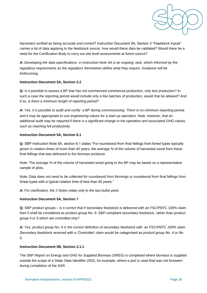

harvester) verified as being accurate and correct? Instruction Document 5A, Section 3 "Feedstock Inputs" carries a lot of data applying to the feedstock source, how would these data be validated? Would there be a need for the Certification Body to carry out site level assessments at forest source?

*A: Developing the data specifications in Instruction Note 5A is an ongoing task, which informed by the regulatory requirements as the regulators themselves define what they require. Guidance will be forthcoming.* 

#### **Instruction Document 5A, Section 2.2**

**Q:** Is it possible to assess a BP that has not commenced commercial production, only test production? In such a case the reporting period would include only a few batches of production, would that be allowed? And if so, is there a minimum length of reporting period?

*A: Yes, it is possible to audit and certify a BP during commissioning. There is no minimum reporting period, and it may be appropriate to use engineering values for a start-up operation. Note, however, that an additional audit may be required if there is a significant change in the operation and associated GHG values, such as reaching full productivity.* 

#### **Instruction Document 5A, Section 6.1**

**Q:** SBP Instruction Note 5A, section 6.1 states "For roundwood from final fellings from forest types typically grown in rotation times of more than 40 years, the average % of the volume of harvested wood from these final fellings that was delivered to the biomass producer.

Note: The average % of the volume of harvested wood going to the BP may be based on a representative sample of plots.

Note: Data does not need to be collected for roundwood from thinnings or roundwood from final fellings from forest types with a typical rotation time of less than 40 years."

*A: For clarification, the 2 Notes relate only to the last bullet point.* 

#### **Instruction Document 5A, Section 7**

**Q:** SBP product groups – is it correct that if secondary feedstock is delivered with an FSC/PEFC 100% claim then it shall be considered as product group No. 6: SBP-compliant secondary feedstock, rather than product group 4 or 5 which are controlled only?

*A: Yes, product group No. 6 is the correct definition of secondary feedstock with an FSC/PEFC 100% claim. Secondary feedstock received with a 'Controlled' claim would be categorised as product group No. 4 or No 5.* 

#### **Instruction Document 5B, Section 2.1.1**

The SBP Report on Energy and GHG for Supplied Biomass (SREG) is completed where biomass is supplied outside the scope of a Static Data Identifier (SDI), for example, where a port is used that was not foreseen during completion of the SAR.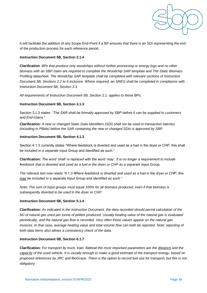

It will facilitate the addition of any Scope End-Point if a BP ensures that there is an SDI representing the end of the production process for each reference period.

#### **Instruction Document 5B, Section 2.1.4**

**Clarification**: *BPs that produce only woodchips without further processing or energy logs and no other biomass with an SBP claim are required to complete the Woodchip SAR template and The Static Biomass Profiling datasheet. The Woodchip SAR template shall be completed with relevant sections of Instruction Document 5B, Sections 2.2 to 6 inclusive. Where required, an SREG shall be completed in compliance with Instruction Document 5B, Section 3.3.* 

*All requirements of Instruction Document 5B, Section 2.1. applies to these BPs.* 

#### **Instruction Document 5B, Section 3.1.3**

Section 3.1.3 states: *"The SAR shall be formally approved by SBP before it can be supplied to customers and End-Users."*

**Clarification:** *A new or changed Static Data Identifiers (SDI) shall not be used in transaction batches (including in PBids) before the SAR containing the new or changed SDIs is approved by SBP.* 

#### **Instruction Document 5B, Section 4.1.3**

Section 4.1.3 currently states "Where feedstock is diverted and used as a fuel in the dryer or CHP, this shall be included in a separate Input Group and identified as such."

**Clarification:** *The word 'shall' is replaced with the word 'may'. It is no longer a requirement to include feedstock that is diverted and used as a fuel in the dryer or CHP as a separate Input Group.* 

*The relevant text now reads "4.1.3 Where feedstock is diverted and used as a fuel in the dryer or CHP, this may be included in a separate Input Group and identified as such."* 

*Note: The sum of input groups must equal 100% for all biomass produced, even if that biomass is subsequently diverted to be used in the dryer or CHP.* 

#### **Instruction Document 5B, Section 5.1.4**

**Clarification:** *As indicated in the Instruction Document, the data recorded should permit calculation of the MJ of natural gas used per tonne of pellets produced. Usually heating value of the natural gas is evaluated periodically, and the natural gas flow is recorded. Very often those values appear on the natural gas invoices. In that case, average heating value and total volume flow can both be reported. Note: reporting of both data items also allows a consistency check of the data.* 

#### **Instruction Document 5B, Section 6.1.7**

**Clarification***: For transport by truck, train, flatboat the most important parameters are the distance and the capacity of the used vehicle. It is usually enough to make a good estimate of the transport energy, based on proposed references by JRC and BioGrace. There is the option to record fuel use for transport, but this is not obligatory.*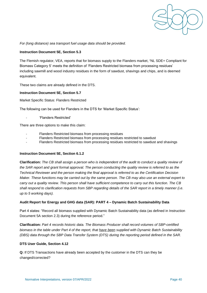

*For (long distance) sea transport fuel usage data should be provided.* 

#### **Instruction Document 5E, Section 5.3**

The Flemish regulator, VEA, reports that for biomass supply to the Flanders market, **'**NL SDE+ Compliant for Biomass Category 5' meets the definition of 'Flanders Restricted biomass from processing residues' including sawmill and wood industry residues in the form of sawdust, shavings and chips, and is deemed equivalent.

These two claims are already defined in the DTS.

#### **Instruction Document 5E, Section 5.7**

Market Specific Status: Flanders Restricted

The following can be used for Flanders in the DTS for 'Market Specific Status':

- 'Flanders Restricted'

There are three options to make this claim:

- Flanders Restricted biomass from processing residues
- Flanders Restricted biomass from processing residues restricted to sawdust
- Flanders Restricted biomass from processing residues restricted to sawdust and shavings

#### **Instruction Document 5E, Section 6.1.2**

**Clarification:** *The CB shall assign a person who is independent of the audit to conduct a quality review of the SAR report and grant formal approval. The person conducting the quality review is referred to as the Technical Reviewer and the person making the final approval is referred to as the Certification Decision Maker. These functions may be carried out by the same person. The CB may also use an external expert to carry out a quality review. This person shall have sufficient competence to carry out this function. The CB shall respond to clarification requests from SBP regarding details of the SAR report in a timely manner (i.e. up to 5 working days).*

#### **Audit Report for Energy and GHG data (SAR): PART 4 – Dynamic Batch Sustainability Data**

Part 4 states: "Record all biomass supplied with Dynamic Batch Sustainability data (as defined in Instruction Document 5A section 2.3) during the reference period."

**Clarification:** *Part 4 records historic data. The Biomass Producer shall record volumes of SBP-certified biomass in the table under Part 4 of the report, that have been supplied with Dynamic Batch Sustainability (DBS) data through the SBP Data Transfer System (DTS) during the reporting period defined in the SAR.*

#### **DTS User Guide, Section 4.12**

**Q:** If DTS Transactions have already been accepted by the customer in the DTS can they be changed/corrected?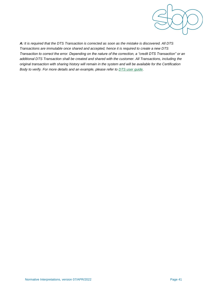

*A: It is required that the DTS Transaction is corrected as soon as the mistake is discovered. All DTS Transactions are immutable once shared and accepted, hence it is required to create a new DTS Transaction to correct the error. Depending on the nature of the correction, a "credit DTS Transaction" or an additional DTS Transaction shall be created and shared with the customer. All Transactions, including the original transaction with sharing history will remain in the system and will be available for the Certification Body to verify. For more details and an example, please refer to [DTS user guide.](https://sbp-cert.org/wp-content/uploads/2019/05/SBP-DTS-User-Guide-15-March-2019-FINAL.pdf)*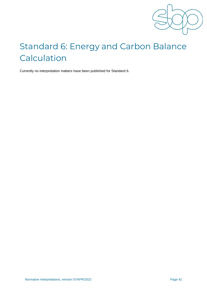

# <span id="page-44-0"></span>Standard 6: Energy and Carbon Balance Calculation

Currently no interpretation matters have been published for Standard 6.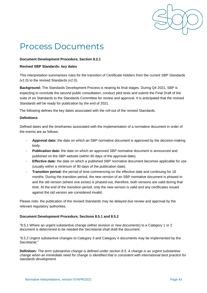

### <span id="page-45-0"></span>Process Documents

#### **Document Development Procedure, Section 8.2.1**

#### **Revised SBP Standards: key dates**

This interpretation summarises rules for the transition of Certificate Holders from the current SBP Standards (v1.0) to the revised Standards (v2.0).

**Background:** The Standards Development Process is nearing its final stages. During Q4 2021, SBP is expecting to conclude the second public consultation, conduct pilot tests and submit the Final Draft of the suite of six Standards to the Standards Committee for review and approval. It is anticipated that the revised Standards will be ready for publication by the end of 2021.

The following defines the key dates associated with the roll-out of the revised Standards.

#### **Definitions**

Defined dates and the timeframes associated with the implementation of a normative document in order of the events are as follows:

- *-* **Approval date:** the date on which an SBP normative document is approved by the decision-making body.
- *-* **Publication date:** the date on which an approved SBP normative document is announced and published on the SBP website (within 60 days of the approval date).
- *-* **Effective date:** the date on which a published SBP normative document becomes applicable for use (usually within a minimum of 90 days of the publication date).
- *-* **Transition period:** the period of time commencing on the effective date and continuing for 18 months. During the transition period, the new version of an SBP normative document is phased-in and the old version (where one exists) is phased-out, therefore, both versions are valid during that time. At the end of the transition period, only the new version is valid and any certificates issued against the old version are considered invalid.

Please note: the publication of the revised Standards may be delayed due review and approval by the relevant regulatory authorities.

#### **Document Development Procedure, Sections 8.5.1 and 8.5.2**

"8.5.1 Where an urgent substantive change (either revision or new documents) to a Category 1 or 2 document is determined to be needed the Secretariat shall draft the document.

"8.5.2 Urgent substantive changes to Category 3 and Category 4 documents may be implemented by the Secretariat."

**Definition:** *The term substantive change is defined under section 8.5. A change is an urgent substantive change when an immediate need for change is identified that is consistent with international best practice for standards development.*